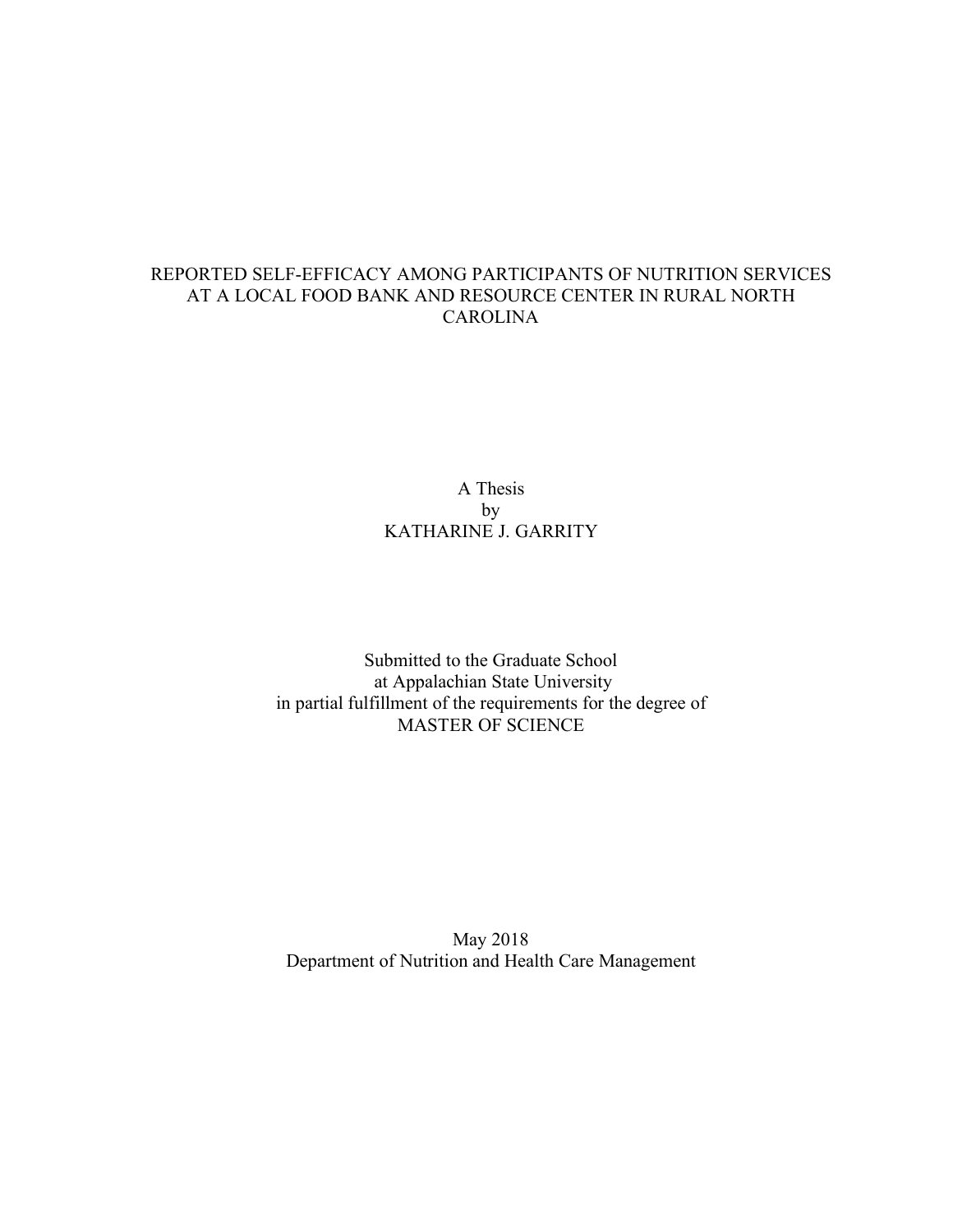## REPORTED SELF-EFFICACY AMONG PARTICIPANTS OF NUTRITION SERVICES AT A LOCAL FOOD BANK AND RESOURCE CENTER IN RURAL NORTH **CAROLINA**

A Thesis by KATHARINE J. GARRITY

Submitted to the Graduate School at Appalachian State University in partial fulfillment of the requirements for the degree of MASTER OF SCIENCE

May 2018 Department of Nutrition and Health Care Management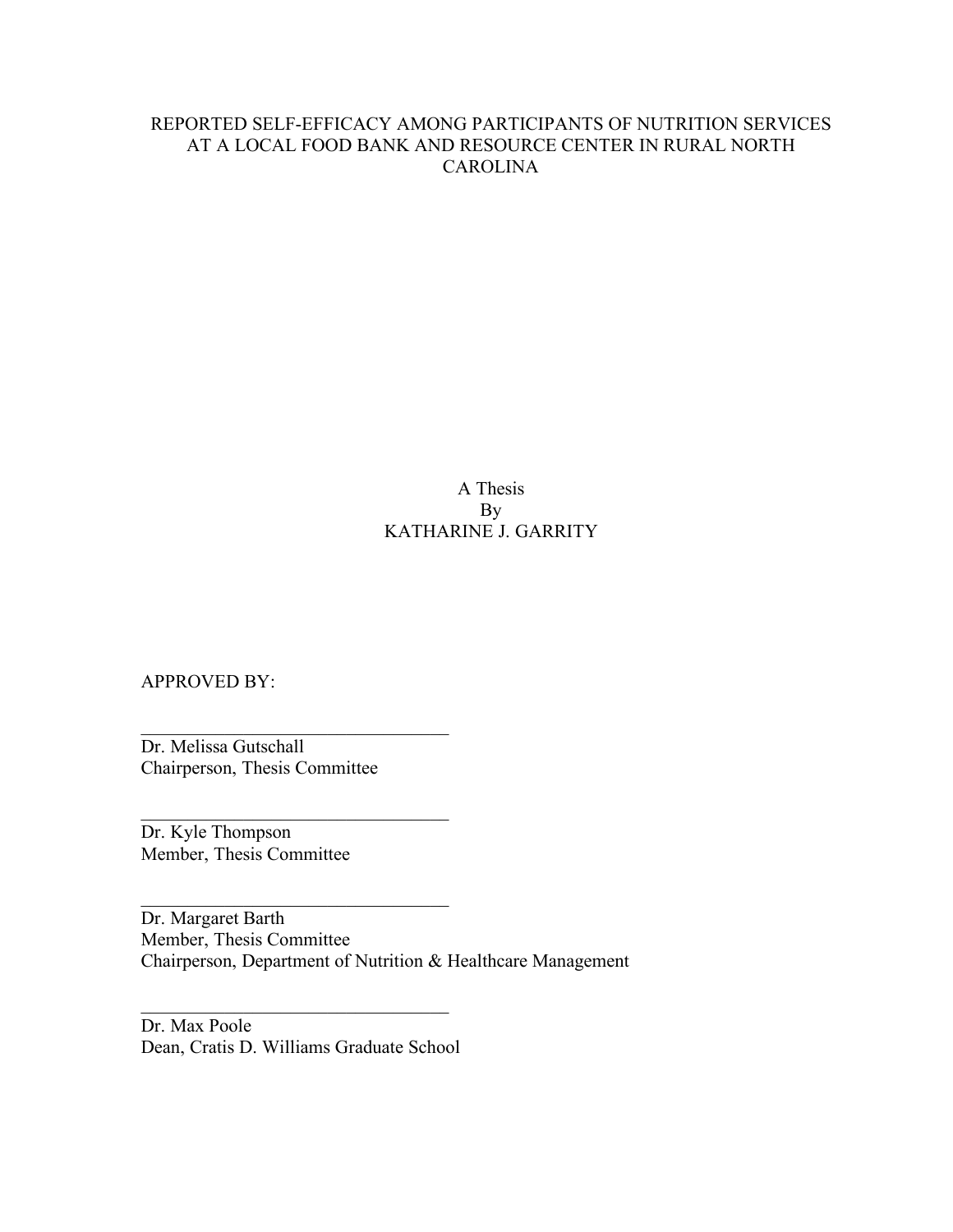## REPORTED SELF-EFFICACY AMONG PARTICIPANTS OF NUTRITION SERVICES AT A LOCAL FOOD BANK AND RESOURCE CENTER IN RURAL NORTH CAROLINA

A Thesis By KATHARINE J. GARRITY

APPROVED BY:

Dr. Melissa Gutschall Chairperson, Thesis Committee

\_\_\_\_\_\_\_\_\_\_\_\_\_\_\_\_\_\_\_\_\_\_\_\_\_\_\_\_\_\_\_\_\_

 $\mathcal{L}_\text{max}$ 

\_\_\_\_\_\_\_\_\_\_\_\_\_\_\_\_\_\_\_\_\_\_\_\_\_\_\_\_\_\_\_\_\_

Dr. Kyle Thompson Member, Thesis Committee

Dr. Margaret Barth Member, Thesis Committee Chairperson, Department of Nutrition & Healthcare Management

Dr. Max Poole Dean, Cratis D. Williams Graduate School

\_\_\_\_\_\_\_\_\_\_\_\_\_\_\_\_\_\_\_\_\_\_\_\_\_\_\_\_\_\_\_\_\_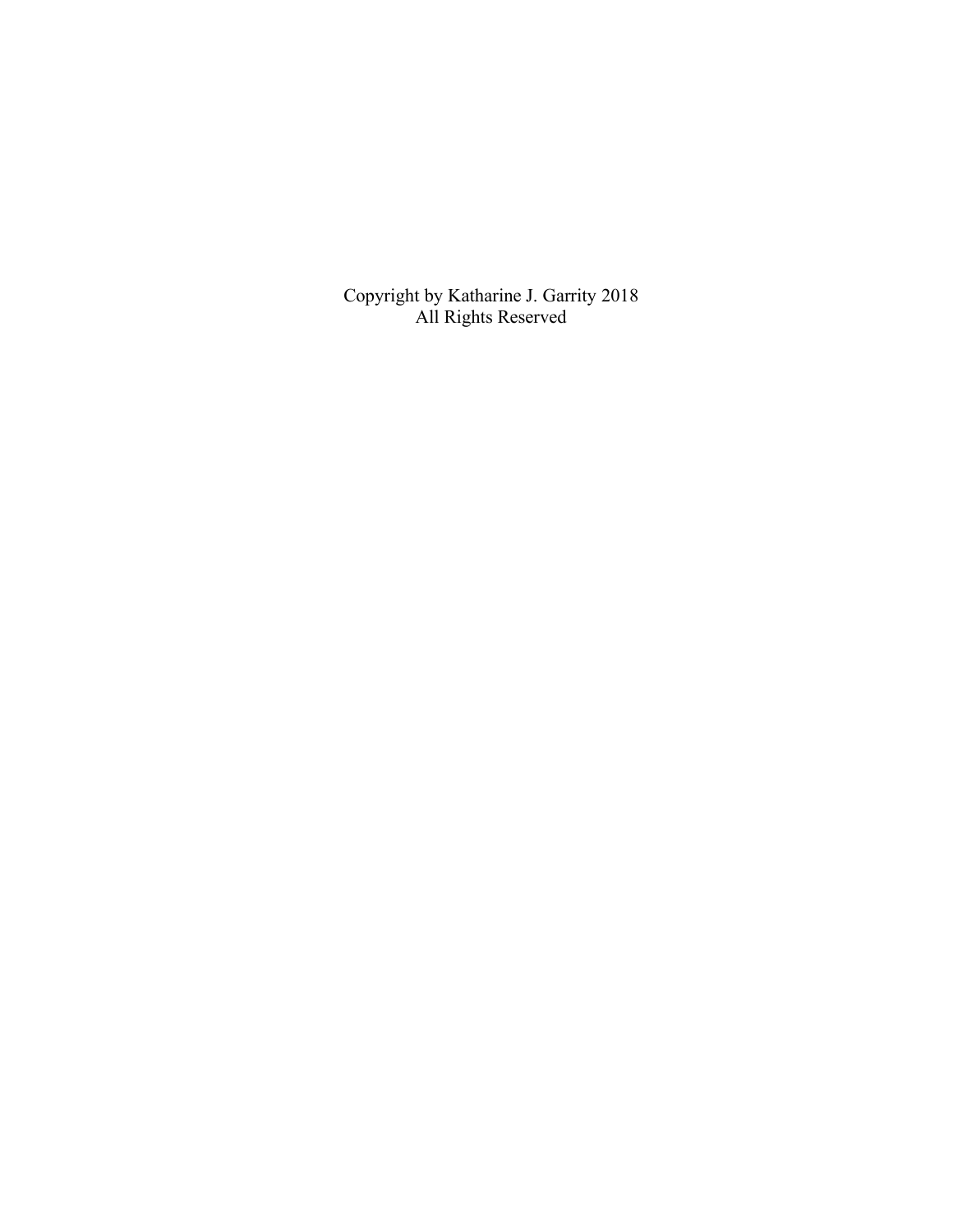Copyright by Katharine J. Garrity 2018 All Rights Reserved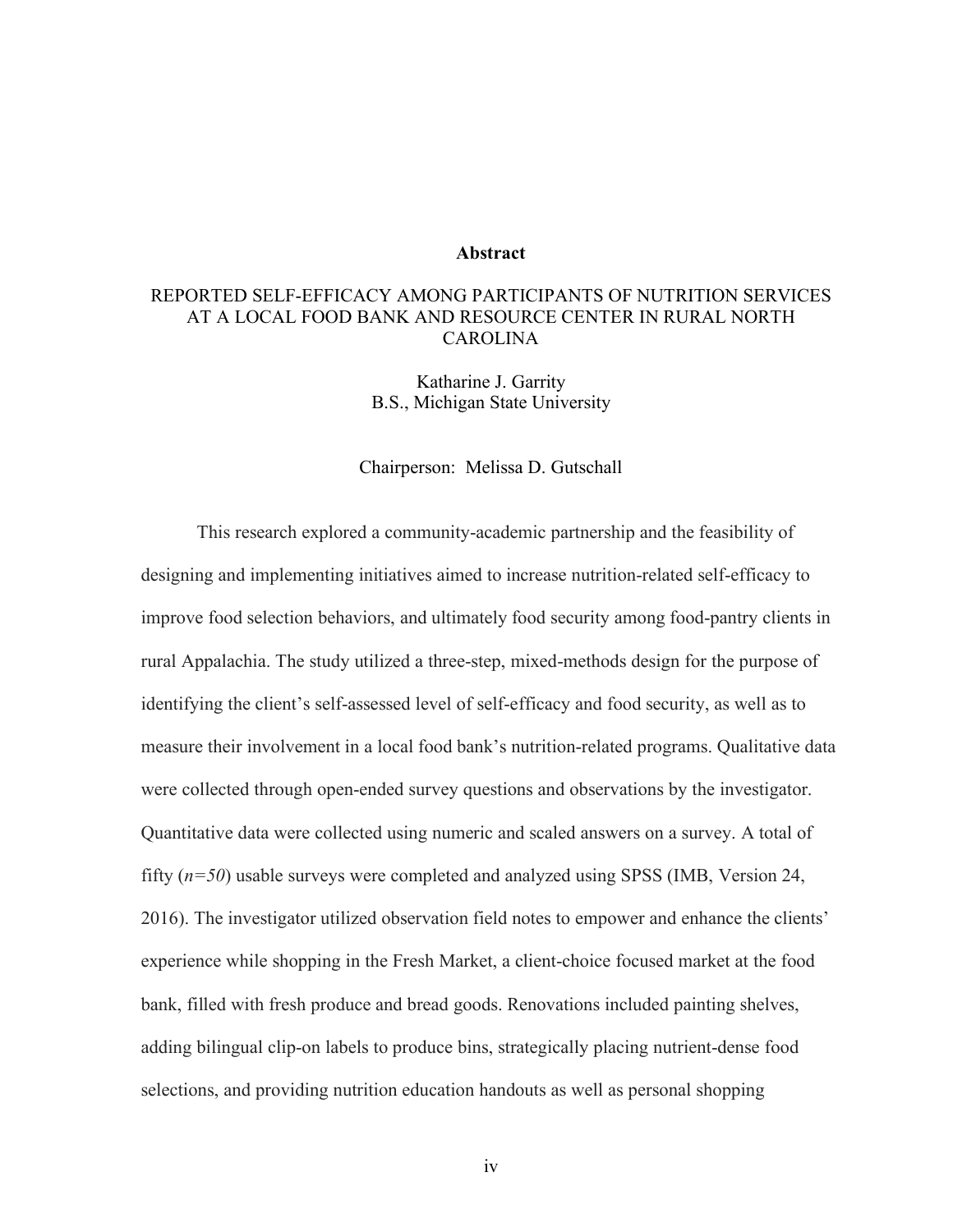#### **Abstract**

## REPORTED SELF-EFFICACY AMONG PARTICIPANTS OF NUTRITION SERVICES AT A LOCAL FOOD BANK AND RESOURCE CENTER IN RURAL NORTH CAROLINA

Katharine J. Garrity B.S., Michigan State University

#### Chairperson: Melissa D. Gutschall

This research explored a community-academic partnership and the feasibility of designing and implementing initiatives aimed to increase nutrition-related self-efficacy to improve food selection behaviors, and ultimately food security among food-pantry clients in rural Appalachia. The study utilized a three-step, mixed-methods design for the purpose of identifying the client's self-assessed level of self-efficacy and food security, as well as to measure their involvement in a local food bank's nutrition-related programs. Qualitative data were collected through open-ended survey questions and observations by the investigator. Quantitative data were collected using numeric and scaled answers on a survey. A total of fifty (*n=50*) usable surveys were completed and analyzed using SPSS (IMB, Version 24, 2016). The investigator utilized observation field notes to empower and enhance the clients' experience while shopping in the Fresh Market, a client-choice focused market at the food bank, filled with fresh produce and bread goods. Renovations included painting shelves, adding bilingual clip-on labels to produce bins, strategically placing nutrient-dense food selections, and providing nutrition education handouts as well as personal shopping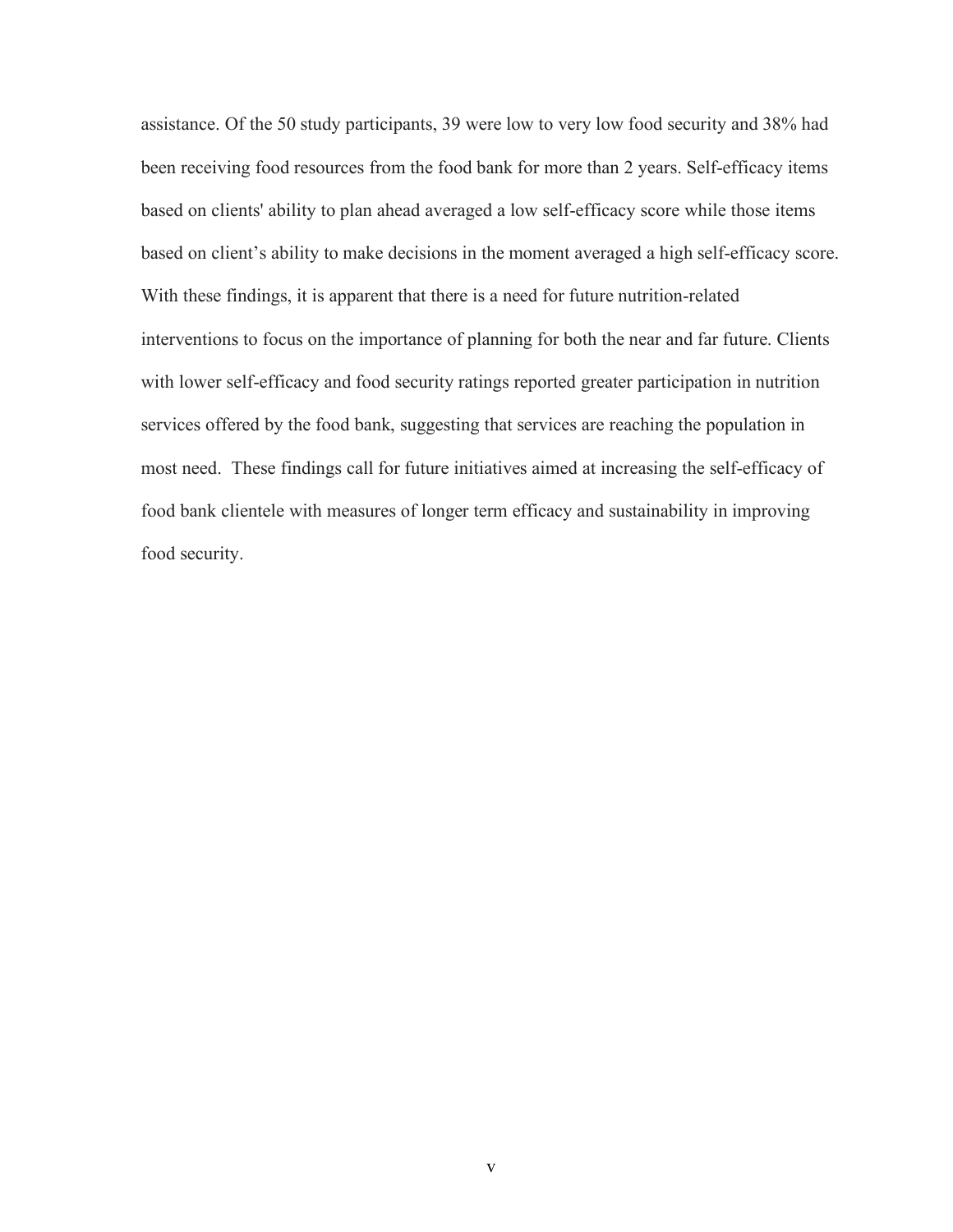assistance. Of the 50 study participants, 39 were low to very low food security and 38% had been receiving food resources from the food bank for more than 2 years. Self-efficacy items based on clients' ability to plan ahead averaged a low self-efficacy score while those items based on client's ability to make decisions in the moment averaged a high self-efficacy score. With these findings, it is apparent that there is a need for future nutrition-related interventions to focus on the importance of planning for both the near and far future. Clients with lower self-efficacy and food security ratings reported greater participation in nutrition services offered by the food bank, suggesting that services are reaching the population in most need. These findings call for future initiatives aimed at increasing the self-efficacy of food bank clientele with measures of longer term efficacy and sustainability in improving food security.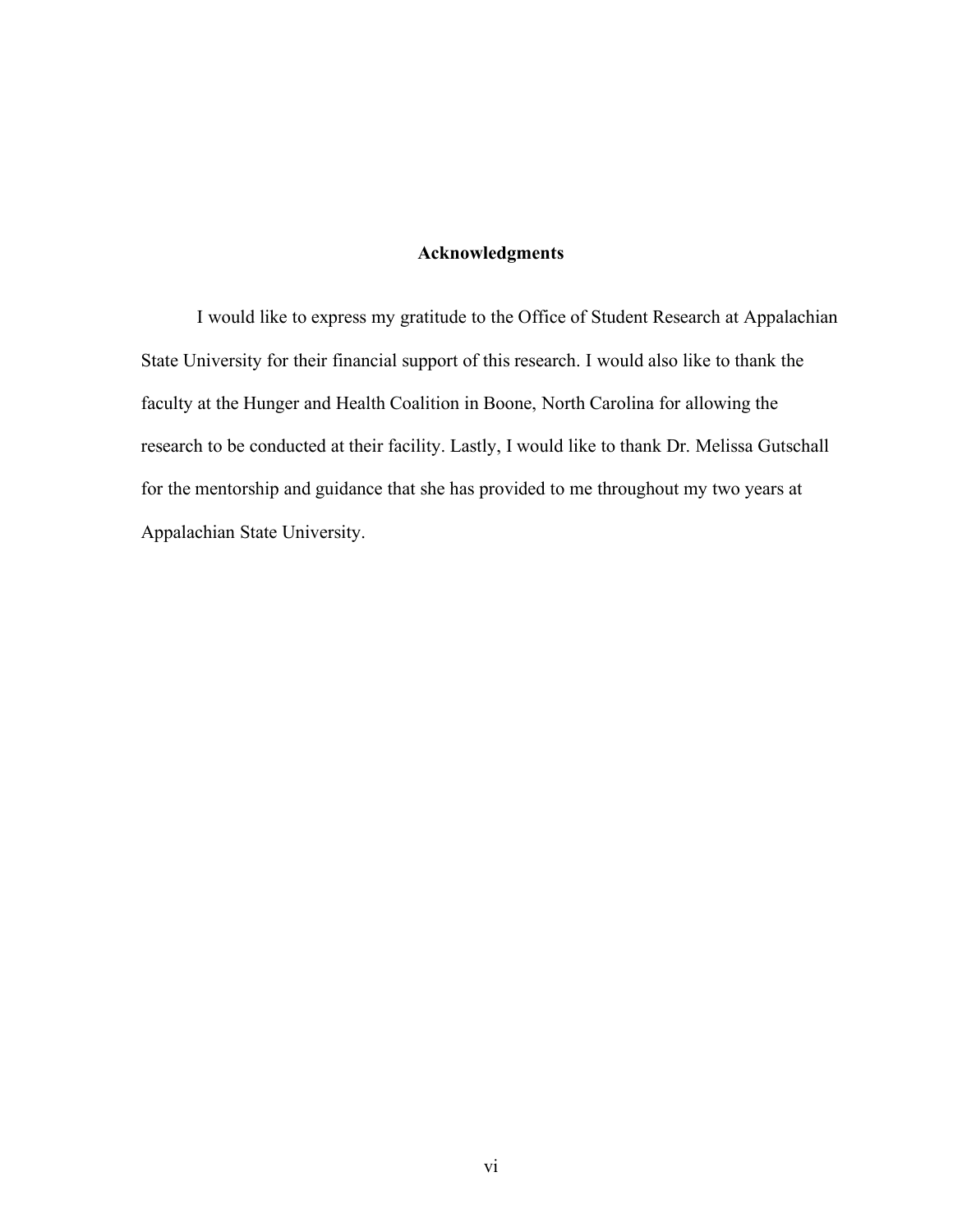## **Acknowledgments**

I would like to express my gratitude to the Office of Student Research at Appalachian State University for their financial support of this research. I would also like to thank the faculty at the Hunger and Health Coalition in Boone, North Carolina for allowing the research to be conducted at their facility. Lastly, I would like to thank Dr. Melissa Gutschall for the mentorship and guidance that she has provided to me throughout my two years at Appalachian State University.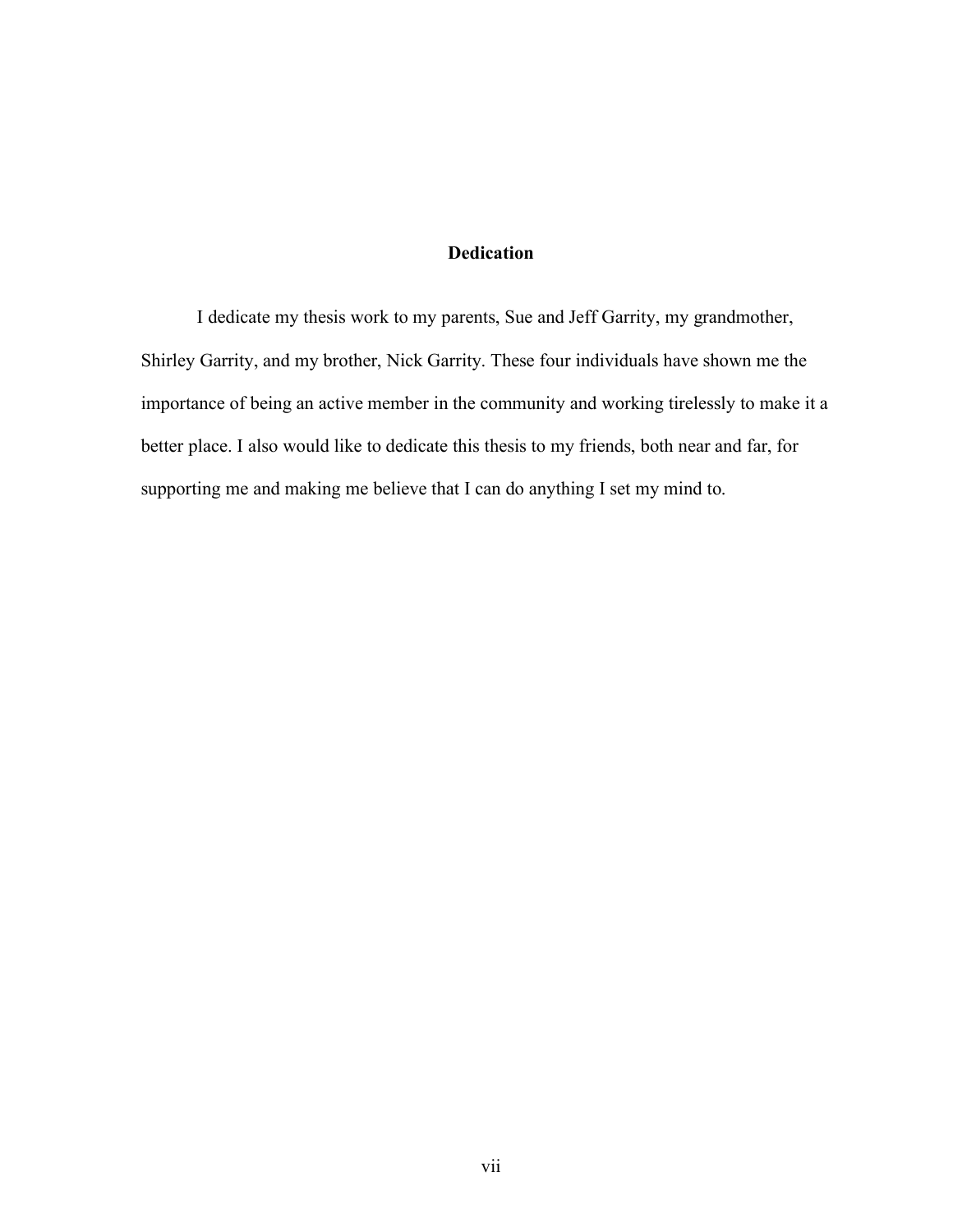## **Dedication**

I dedicate my thesis work to my parents, Sue and Jeff Garrity, my grandmother, Shirley Garrity, and my brother, Nick Garrity. These four individuals have shown me the importance of being an active member in the community and working tirelessly to make it a better place. I also would like to dedicate this thesis to my friends, both near and far, for supporting me and making me believe that I can do anything I set my mind to.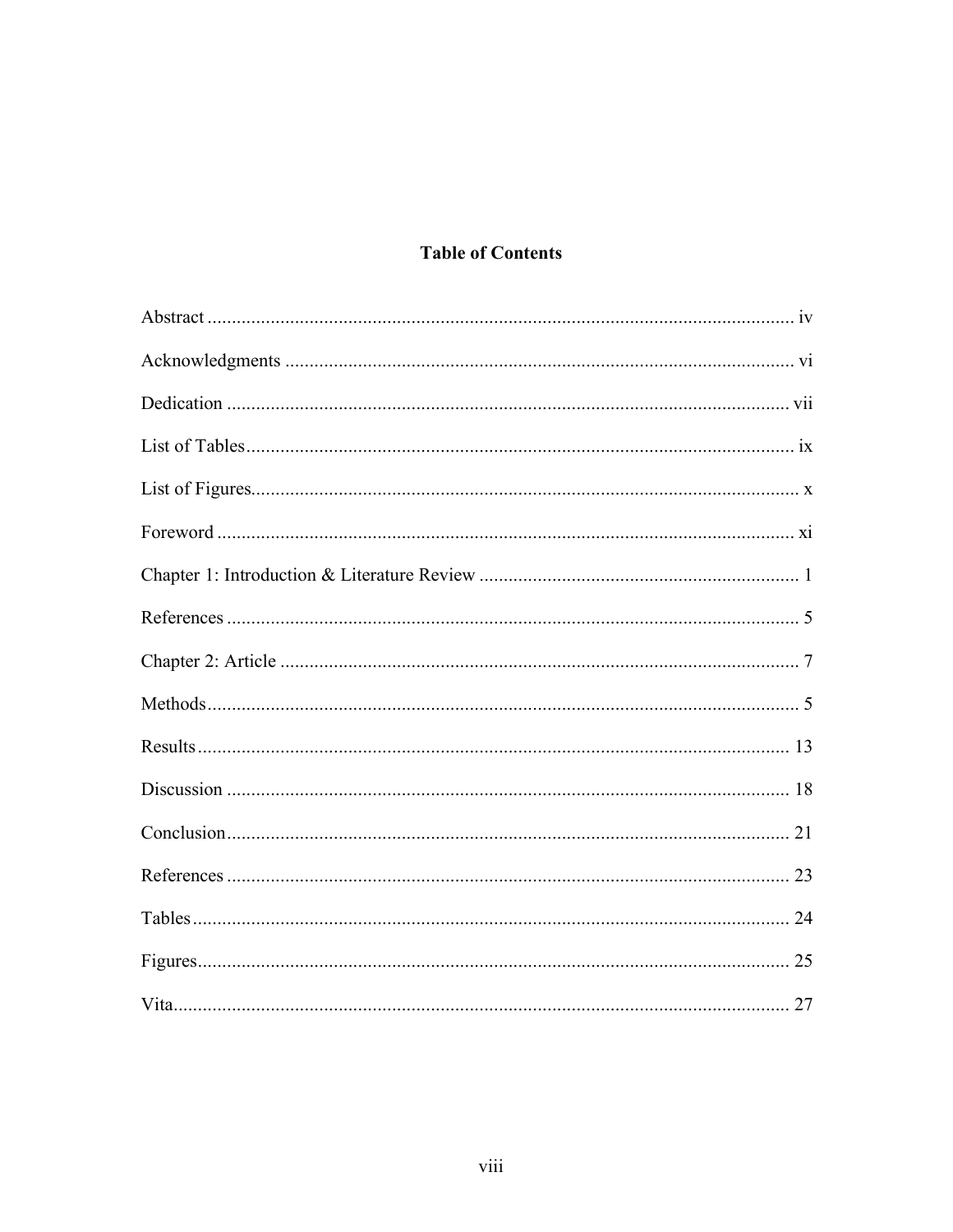## **Table of Contents**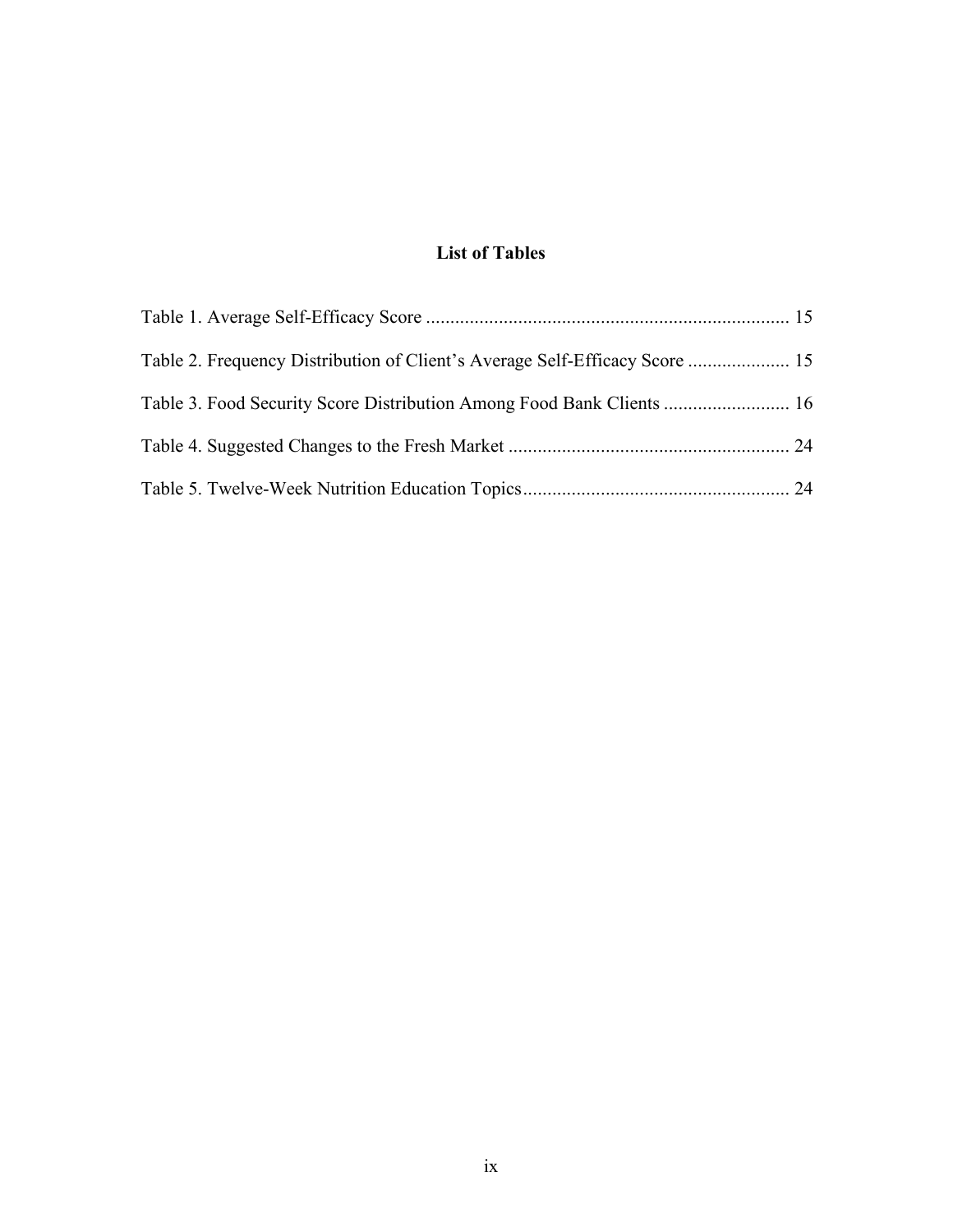## **List of Tables**

| Table 2. Frequency Distribution of Client's Average Self-Efficacy Score  15 |  |
|-----------------------------------------------------------------------------|--|
|                                                                             |  |
|                                                                             |  |
|                                                                             |  |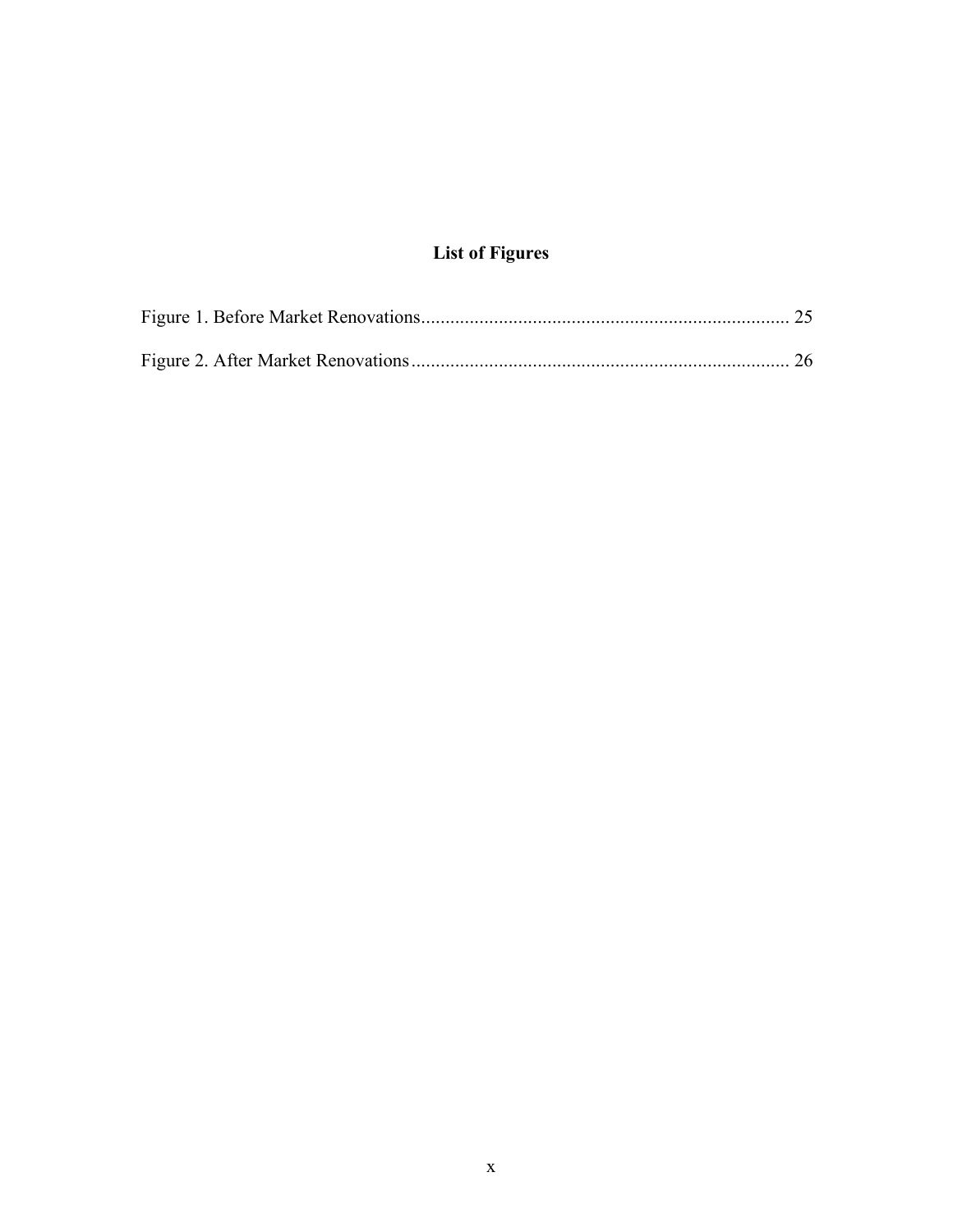# **List of Figures**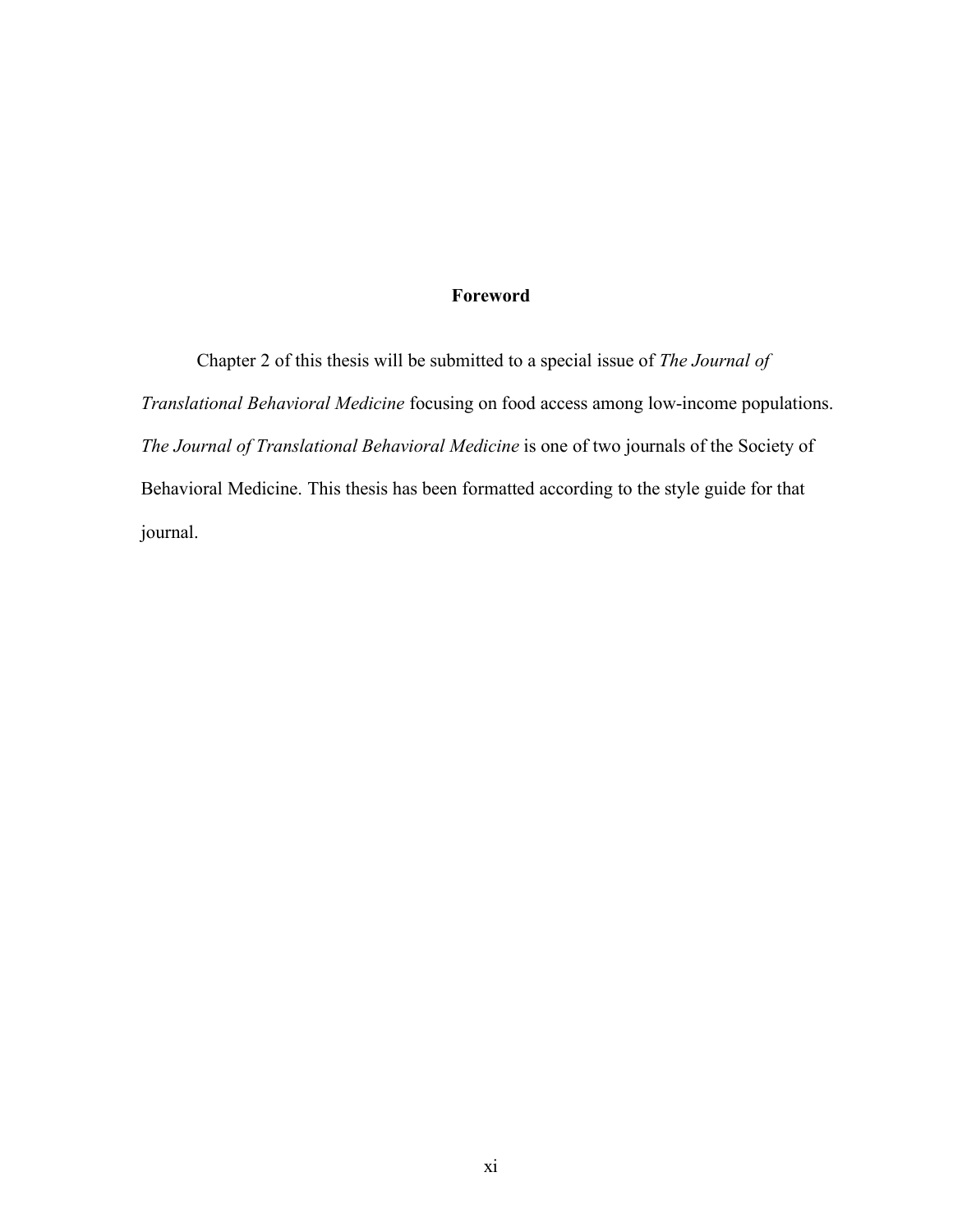## **Foreword**

Chapter 2 of this thesis will be submitted to a special issue of *The Journal of Translational Behavioral Medicine* focusing on food access among low-income populations. *The Journal of Translational Behavioral Medicine* is one of two journals of the Society of Behavioral Medicine. This thesis has been formatted according to the style guide for that journal.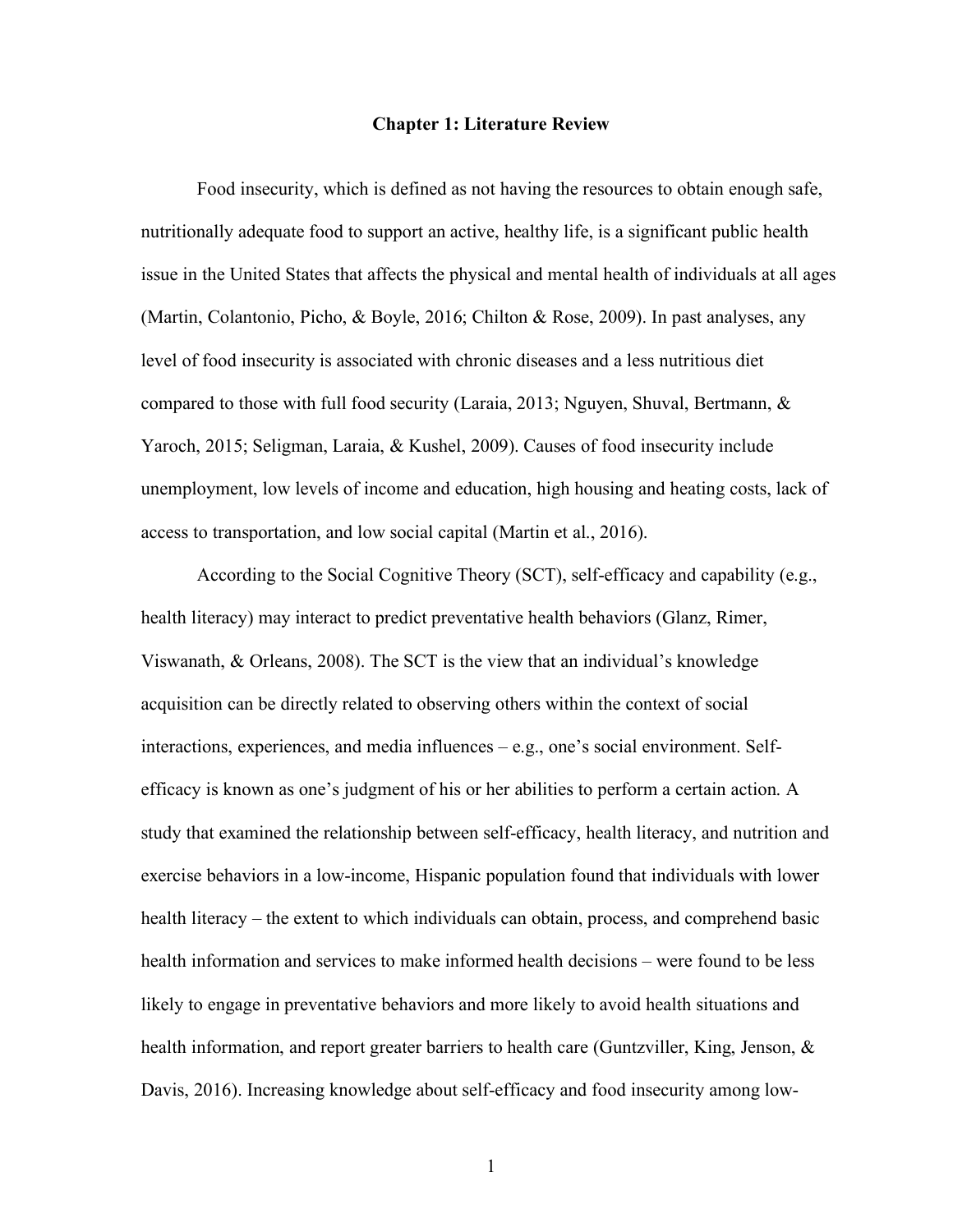#### **Chapter 1: Literature Review**

Food insecurity, which is defined as not having the resources to obtain enough safe, nutritionally adequate food to support an active, healthy life, is a significant public health issue in the United States that affects the physical and mental health of individuals at all ages (Martin, Colantonio, Picho, & Boyle, 2016; Chilton & Rose, 2009). In past analyses, any level of food insecurity is associated with chronic diseases and a less nutritious diet compared to those with full food security (Laraia, 2013; Nguyen, Shuval, Bertmann, & Yaroch, 2015; Seligman, Laraia, & Kushel, 2009). Causes of food insecurity include unemployment, low levels of income and education, high housing and heating costs, lack of access to transportation, and low social capital (Martin et al., 2016).

According to the Social Cognitive Theory (SCT), self-efficacy and capability (e.g., health literacy) may interact to predict preventative health behaviors (Glanz, Rimer, Viswanath, & Orleans, 2008). The SCT is the view that an individual's knowledge acquisition can be directly related to observing others within the context of social interactions, experiences, and media influences – e.g., one's social environment. Selfefficacy is known as one's judgment of his or her abilities to perform a certain action. A study that examined the relationship between self-efficacy, health literacy, and nutrition and exercise behaviors in a low-income, Hispanic population found that individuals with lower health literacy – the extent to which individuals can obtain, process, and comprehend basic health information and services to make informed health decisions – were found to be less likely to engage in preventative behaviors and more likely to avoid health situations and health information, and report greater barriers to health care (Guntzviller, King, Jenson, & Davis, 2016). Increasing knowledge about self-efficacy and food insecurity among low-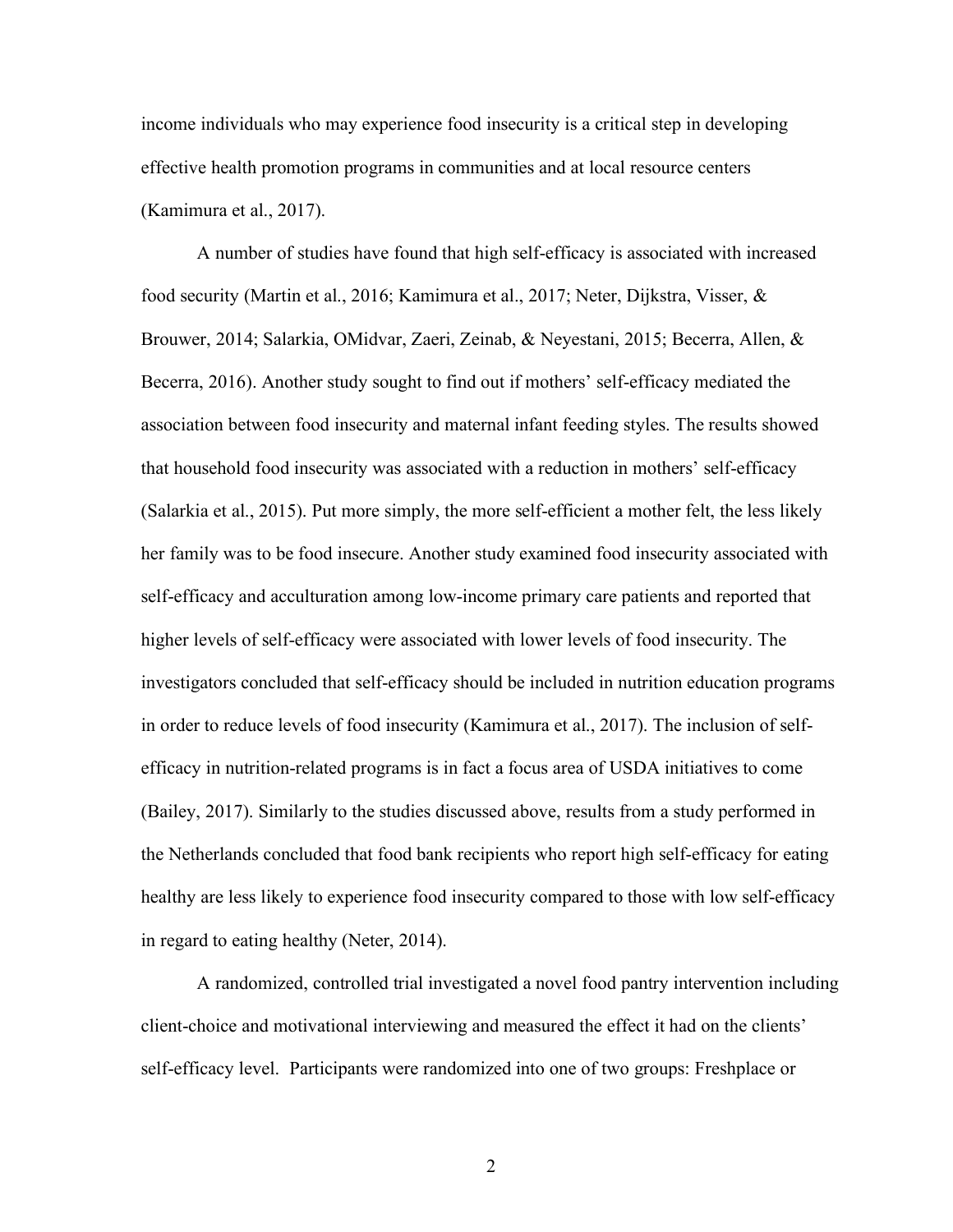income individuals who may experience food insecurity is a critical step in developing effective health promotion programs in communities and at local resource centers (Kamimura et al., 2017).

A number of studies have found that high self-efficacy is associated with increased food security (Martin et al., 2016; Kamimura et al., 2017; Neter, Dijkstra, Visser, & Brouwer, 2014; Salarkia, OMidvar, Zaeri, Zeinab, & Neyestani, 2015; Becerra, Allen, & Becerra, 2016). Another study sought to find out if mothers' self-efficacy mediated the association between food insecurity and maternal infant feeding styles. The results showed that household food insecurity was associated with a reduction in mothers' self-efficacy (Salarkia et al., 2015). Put more simply, the more self-efficient a mother felt, the less likely her family was to be food insecure. Another study examined food insecurity associated with self-efficacy and acculturation among low-income primary care patients and reported that higher levels of self-efficacy were associated with lower levels of food insecurity. The investigators concluded that self-efficacy should be included in nutrition education programs in order to reduce levels of food insecurity (Kamimura et al., 2017). The inclusion of selfefficacy in nutrition-related programs is in fact a focus area of USDA initiatives to come (Bailey, 2017). Similarly to the studies discussed above, results from a study performed in the Netherlands concluded that food bank recipients who report high self-efficacy for eating healthy are less likely to experience food insecurity compared to those with low self-efficacy in regard to eating healthy (Neter, 2014).

A randomized, controlled trial investigated a novel food pantry intervention including client-choice and motivational interviewing and measured the effect it had on the clients' self-efficacy level. Participants were randomized into one of two groups: Freshplace or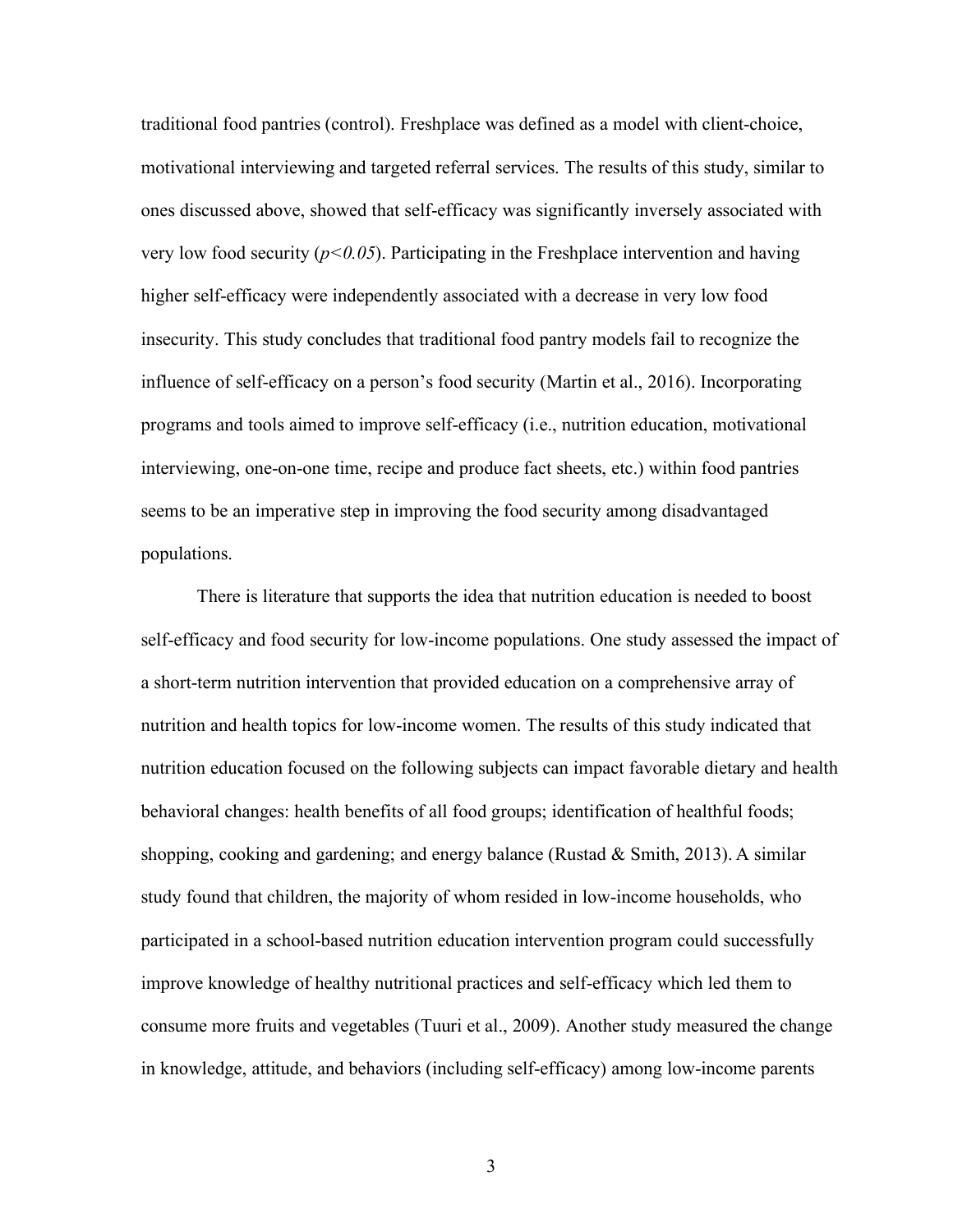traditional food pantries (control). Freshplace was defined as a model with client-choice, motivational interviewing and targeted referral services. The results of this study, similar to ones discussed above, showed that self-efficacy was significantly inversely associated with very low food security  $(p<0.05)$ . Participating in the Freshplace intervention and having higher self-efficacy were independently associated with a decrease in very low food insecurity. This study concludes that traditional food pantry models fail to recognize the influence of self-efficacy on a person's food security (Martin et al., 2016). Incorporating programs and tools aimed to improve self-efficacy (i.e., nutrition education, motivational interviewing, one-on-one time, recipe and produce fact sheets, etc.) within food pantries seems to be an imperative step in improving the food security among disadvantaged populations.

There is literature that supports the idea that nutrition education is needed to boost self-efficacy and food security for low-income populations. One study assessed the impact of a short-term nutrition intervention that provided education on a comprehensive array of nutrition and health topics for low-income women. The results of this study indicated that nutrition education focused on the following subjects can impact favorable dietary and health behavioral changes: health benefits of all food groups; identification of healthful foods; shopping, cooking and gardening; and energy balance (Rustad & Smith, 2013). A similar study found that children, the majority of whom resided in low-income households, who participated in a school-based nutrition education intervention program could successfully improve knowledge of healthy nutritional practices and self-efficacy which led them to consume more fruits and vegetables (Tuuri et al., 2009). Another study measured the change in knowledge, attitude, and behaviors (including self-efficacy) among low-income parents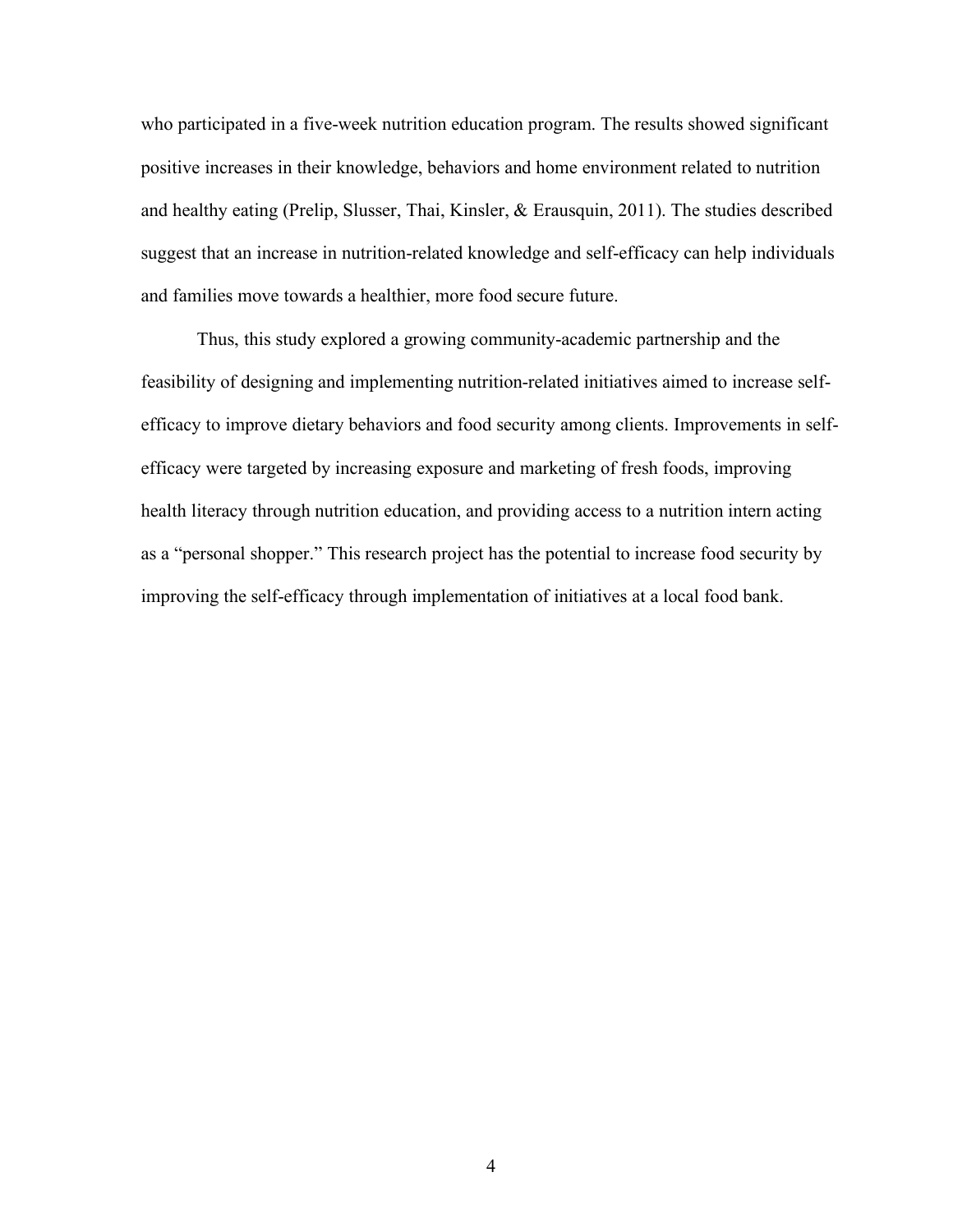who participated in a five-week nutrition education program. The results showed significant positive increases in their knowledge, behaviors and home environment related to nutrition and healthy eating (Prelip, Slusser, Thai, Kinsler, & Erausquin, 2011). The studies described suggest that an increase in nutrition-related knowledge and self-efficacy can help individuals and families move towards a healthier, more food secure future.

Thus, this study explored a growing community-academic partnership and the feasibility of designing and implementing nutrition-related initiatives aimed to increase selfefficacy to improve dietary behaviors and food security among clients. Improvements in selfefficacy were targeted by increasing exposure and marketing of fresh foods, improving health literacy through nutrition education, and providing access to a nutrition intern acting as a "personal shopper." This research project has the potential to increase food security by improving the self-efficacy through implementation of initiatives at a local food bank.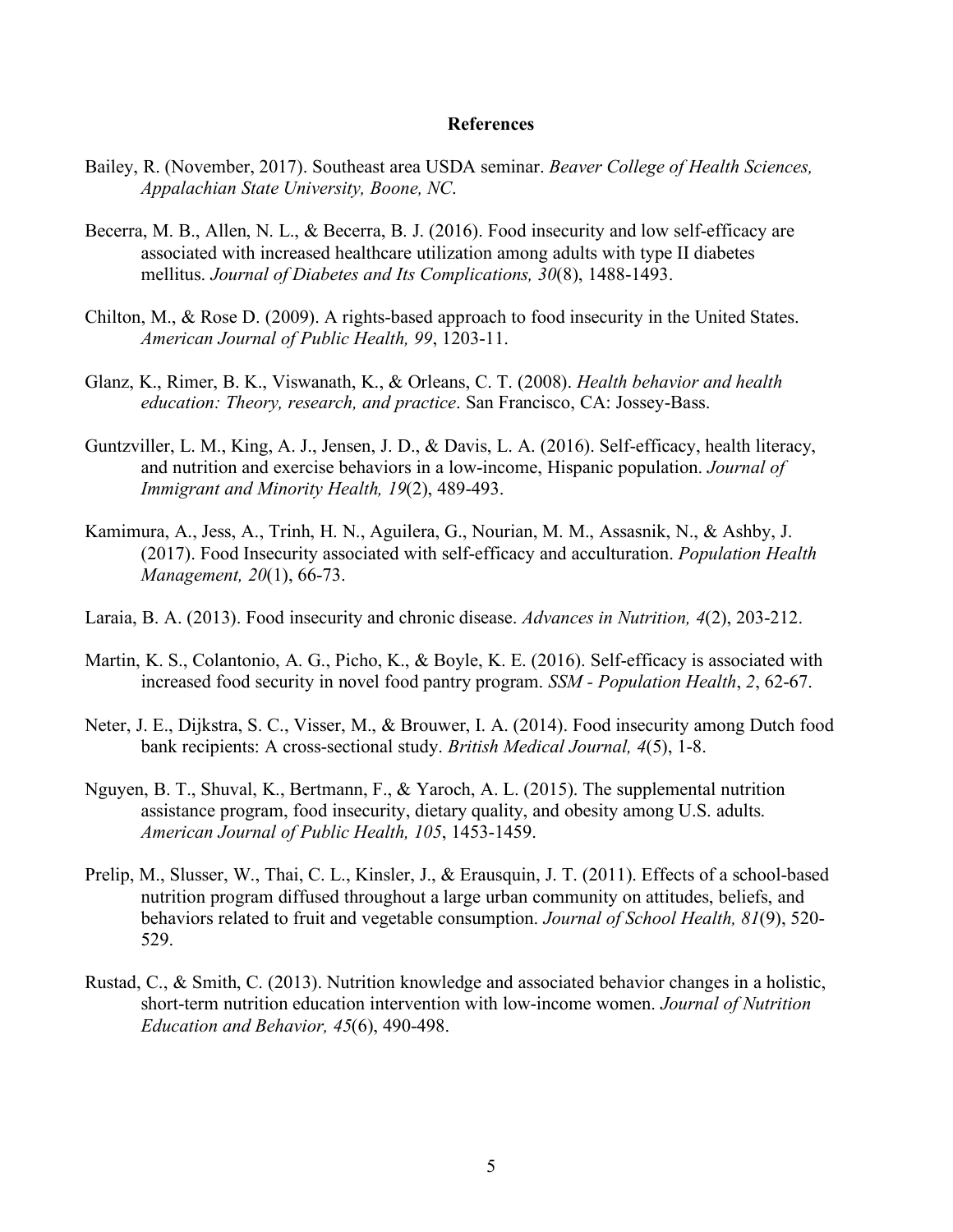#### **References**

- Bailey, R. (November, 2017). Southeast area USDA seminar. *Beaver College of Health Sciences, Appalachian State University, Boone, NC*.
- Becerra, M. B., Allen, N. L., & Becerra, B. J. (2016). Food insecurity and low self-efficacy are associated with increased healthcare utilization among adults with type II diabetes mellitus. *Journal of Diabetes and Its Complications, 30*(8), 1488-1493.
- Chilton, M., & Rose D. (2009). A rights-based approach to food insecurity in the United States. *American Journal of Public Health, 99*, 1203-11.
- Glanz, K., Rimer, B. K., Viswanath, K., & Orleans, C. T. (2008). *Health behavior and health education: Theory, research, and practice*. San Francisco, CA: Jossey-Bass.
- Guntzviller, L. M., King, A. J., Jensen, J. D., & Davis, L. A. (2016). Self-efficacy, health literacy, and nutrition and exercise behaviors in a low-income, Hispanic population. *Journal of Immigrant and Minority Health, 19*(2), 489-493.
- Kamimura, A., Jess, A., Trinh, H. N., Aguilera, G., Nourian, M. M., Assasnik, N., & Ashby, J. (2017). Food Insecurity associated with self-efficacy and acculturation. *Population Health Management, 20*(1), 66-73.
- Laraia, B. A. (2013). Food insecurity and chronic disease. *Advances in Nutrition, 4*(2), 203-212.
- Martin, K. S., Colantonio, A. G., Picho, K., & Boyle, K. E. (2016). Self-efficacy is associated with increased food security in novel food pantry program. *SSM - Population Health*, *2*, 62-67.
- Neter, J. E., Dijkstra, S. C., Visser, M., & Brouwer, I. A. (2014). Food insecurity among Dutch food bank recipients: A cross-sectional study. *British Medical Journal, 4*(5), 1-8.
- Nguyen, B. T., Shuval, K., Bertmann, F., & Yaroch, A. L. (2015). The supplemental nutrition assistance program, food insecurity, dietary quality, and obesity among U.S. adults. *American Journal of Public Health, 105*, 1453-1459.
- Prelip, M., Slusser, W., Thai, C. L., Kinsler, J., & Erausquin, J. T. (2011). Effects of a school-based nutrition program diffused throughout a large urban community on attitudes, beliefs, and behaviors related to fruit and vegetable consumption. *Journal of School Health, 81*(9), 520- 529.
- Rustad, C., & Smith, C. (2013). Nutrition knowledge and associated behavior changes in a holistic, short-term nutrition education intervention with low-income women. *Journal of Nutrition Education and Behavior, 45*(6), 490-498.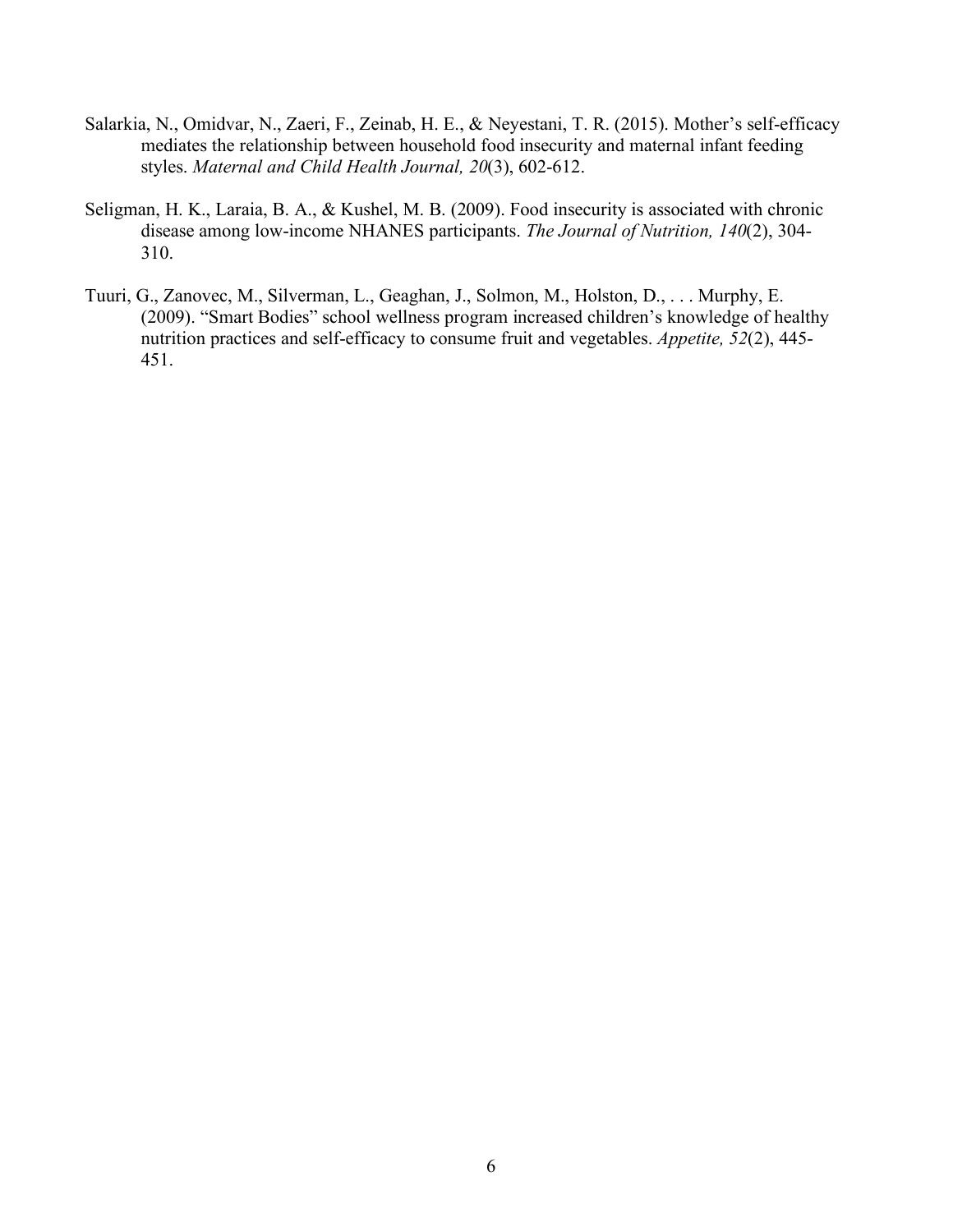- Salarkia, N., Omidvar, N., Zaeri, F., Zeinab, H. E., & Neyestani, T. R. (2015). Mother's self-efficacy mediates the relationship between household food insecurity and maternal infant feeding styles. *Maternal and Child Health Journal, 20*(3), 602-612.
- Seligman, H. K., Laraia, B. A., & Kushel, M. B. (2009). Food insecurity is associated with chronic disease among low-income NHANES participants. *The Journal of Nutrition, 140*(2), 304- 310.
- Tuuri, G., Zanovec, M., Silverman, L., Geaghan, J., Solmon, M., Holston, D., . . . Murphy, E. (2009). "Smart Bodies" school wellness program increased children's knowledge of healthy nutrition practices and self-efficacy to consume fruit and vegetables. *Appetite, 52*(2), 445- 451.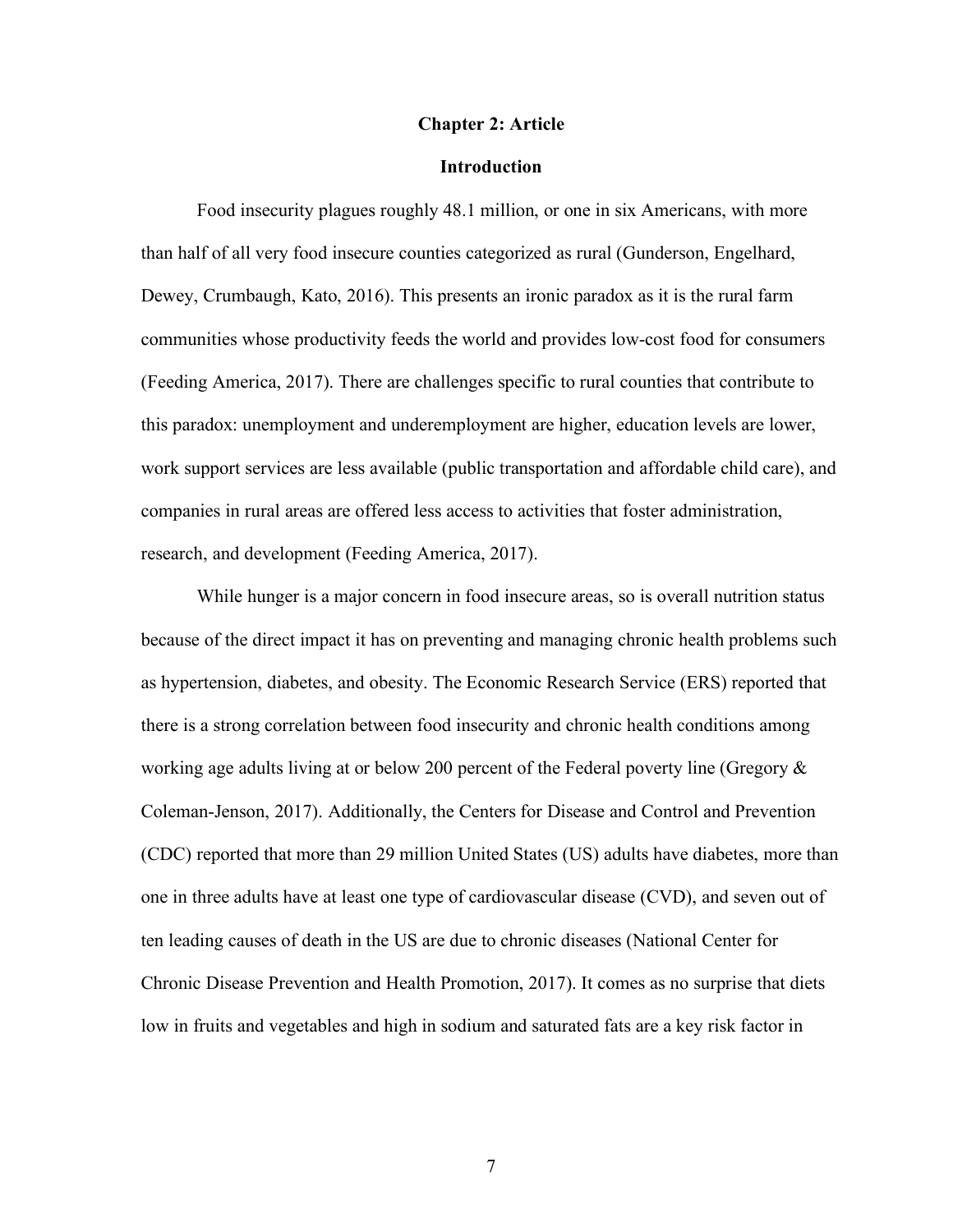#### **Chapter 2: Article**

### **Introduction**

Food insecurity plagues roughly 48.1 million, or one in six Americans, with more than half of all very food insecure counties categorized as rural (Gunderson, Engelhard, Dewey, Crumbaugh, Kato, 2016). This presents an ironic paradox as it is the rural farm communities whose productivity feeds the world and provides low-cost food for consumers (Feeding America, 2017). There are challenges specific to rural counties that contribute to this paradox: unemployment and underemployment are higher, education levels are lower, work support services are less available (public transportation and affordable child care), and companies in rural areas are offered less access to activities that foster administration, research, and development (Feeding America, 2017).

While hunger is a major concern in food insecure areas, so is overall nutrition status because of the direct impact it has on preventing and managing chronic health problems such as hypertension, diabetes, and obesity. The Economic Research Service (ERS) reported that there is a strong correlation between food insecurity and chronic health conditions among working age adults living at or below 200 percent of the Federal poverty line (Gregory  $\&$ Coleman-Jenson, 2017). Additionally, the Centers for Disease and Control and Prevention (CDC) reported that more than 29 million United States (US) adults have diabetes, more than one in three adults have at least one type of cardiovascular disease (CVD), and seven out of ten leading causes of death in the US are due to chronic diseases (National Center for Chronic Disease Prevention and Health Promotion, 2017). It comes as no surprise that diets low in fruits and vegetables and high in sodium and saturated fats are a key risk factor in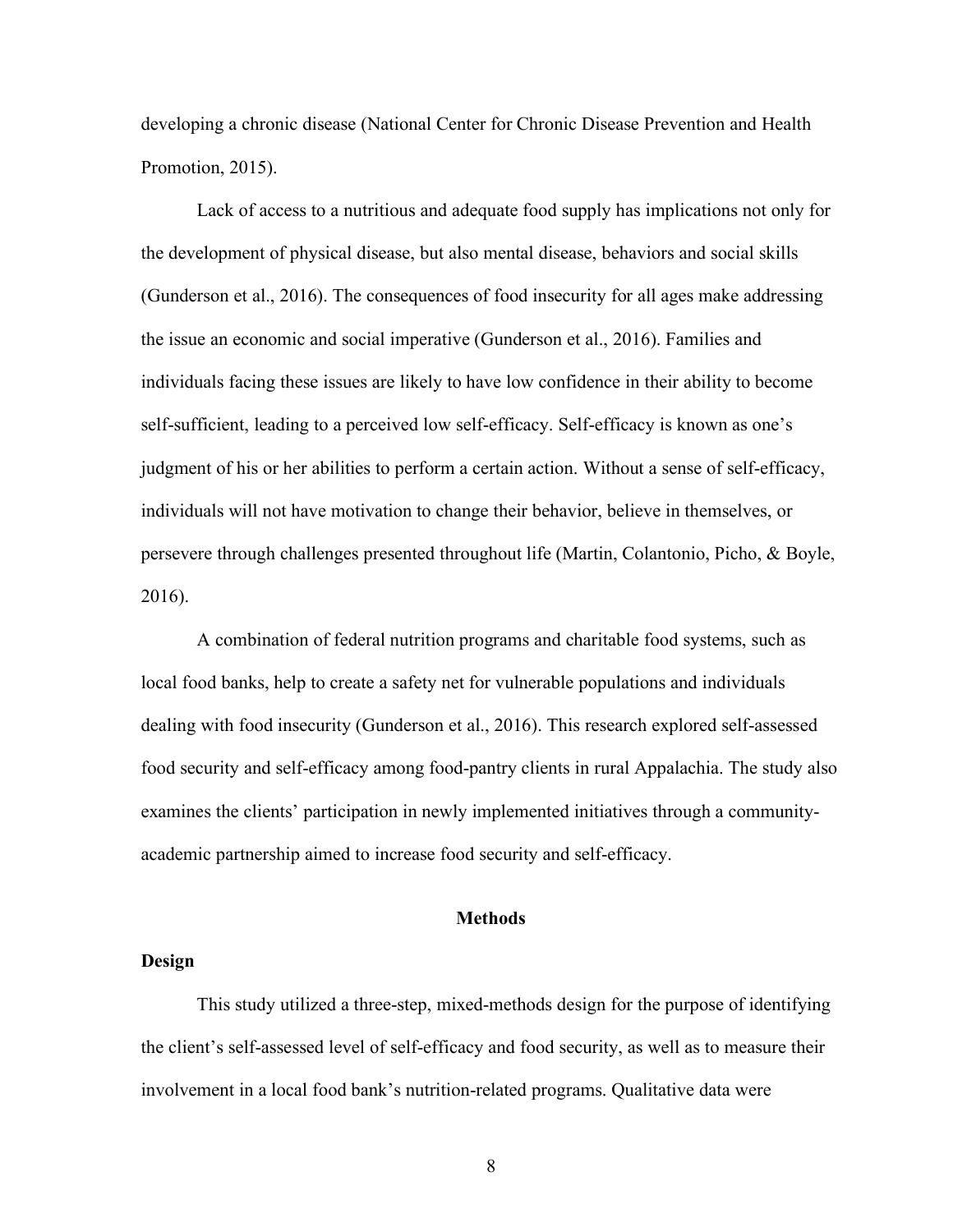developing a chronic disease (National Center for Chronic Disease Prevention and Health Promotion, 2015).

Lack of access to a nutritious and adequate food supply has implications not only for the development of physical disease, but also mental disease, behaviors and social skills (Gunderson et al., 2016). The consequences of food insecurity for all ages make addressing the issue an economic and social imperative (Gunderson et al., 2016). Families and individuals facing these issues are likely to have low confidence in their ability to become self-sufficient, leading to a perceived low self-efficacy. Self-efficacy is known as one's judgment of his or her abilities to perform a certain action. Without a sense of self-efficacy, individuals will not have motivation to change their behavior, believe in themselves, or persevere through challenges presented throughout life (Martin, Colantonio, Picho, & Boyle, 2016).

A combination of federal nutrition programs and charitable food systems, such as local food banks, help to create a safety net for vulnerable populations and individuals dealing with food insecurity (Gunderson et al., 2016). This research explored self-assessed food security and self-efficacy among food-pantry clients in rural Appalachia. The study also examines the clients' participation in newly implemented initiatives through a communityacademic partnership aimed to increase food security and self-efficacy.

#### **Methods**

## **Design**

This study utilized a three-step, mixed-methods design for the purpose of identifying the client's self-assessed level of self-efficacy and food security, as well as to measure their involvement in a local food bank's nutrition-related programs. Qualitative data were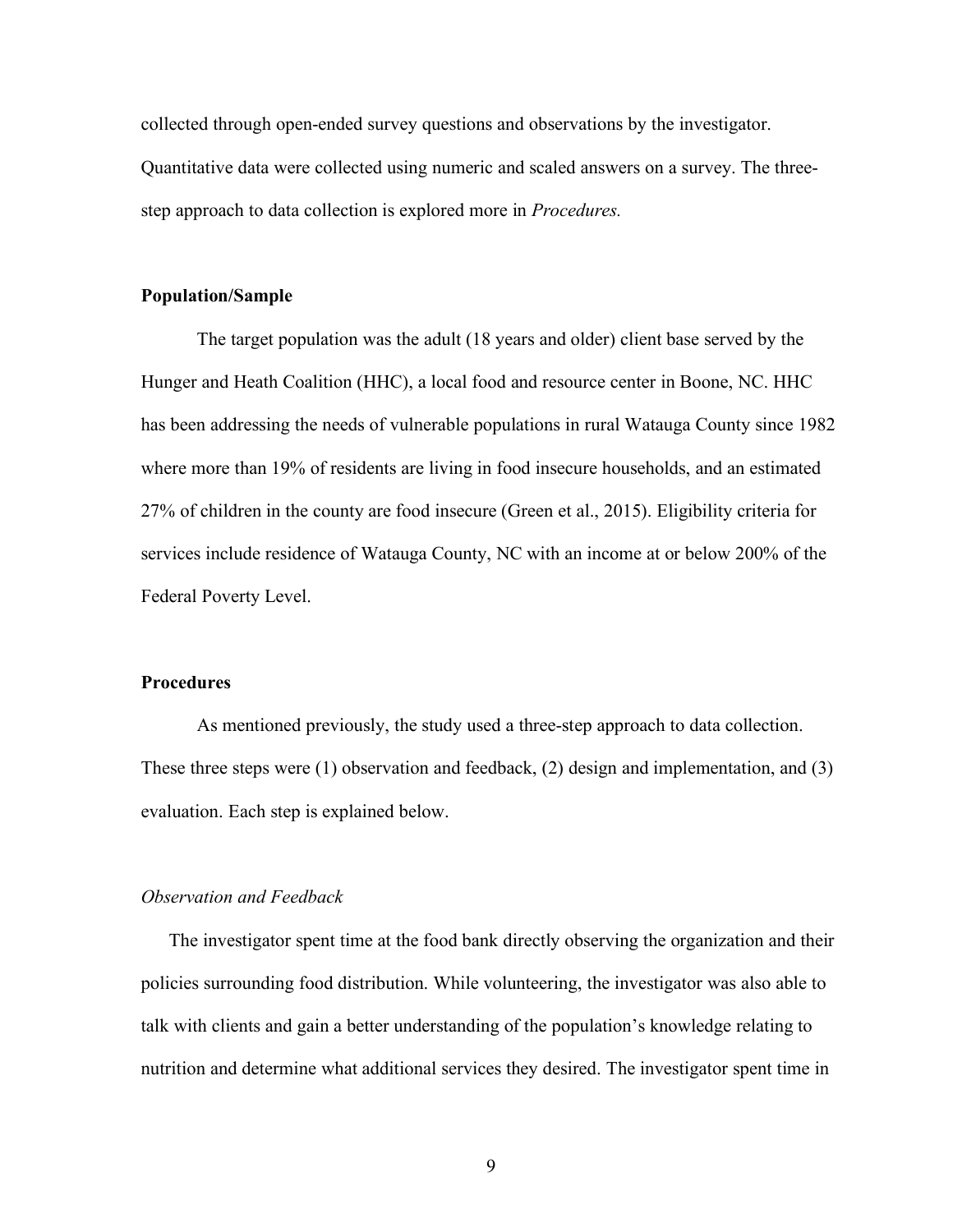collected through open-ended survey questions and observations by the investigator. Quantitative data were collected using numeric and scaled answers on a survey. The threestep approach to data collection is explored more in *Procedures.*

#### **Population/Sample**

The target population was the adult (18 years and older) client base served by the Hunger and Heath Coalition (HHC), a local food and resource center in Boone, NC. HHC has been addressing the needs of vulnerable populations in rural Watauga County since 1982 where more than 19% of residents are living in food insecure households, and an estimated 27% of children in the county are food insecure (Green et al., 2015). Eligibility criteria for services include residence of Watauga County, NC with an income at or below 200% of the Federal Poverty Level.

#### **Procedures**

As mentioned previously, the study used a three-step approach to data collection. These three steps were (1) observation and feedback, (2) design and implementation, and (3) evaluation. Each step is explained below.

#### *Observation and Feedback*

The investigator spent time at the food bank directly observing the organization and their policies surrounding food distribution. While volunteering, the investigator was also able to talk with clients and gain a better understanding of the population's knowledge relating to nutrition and determine what additional services they desired. The investigator spent time in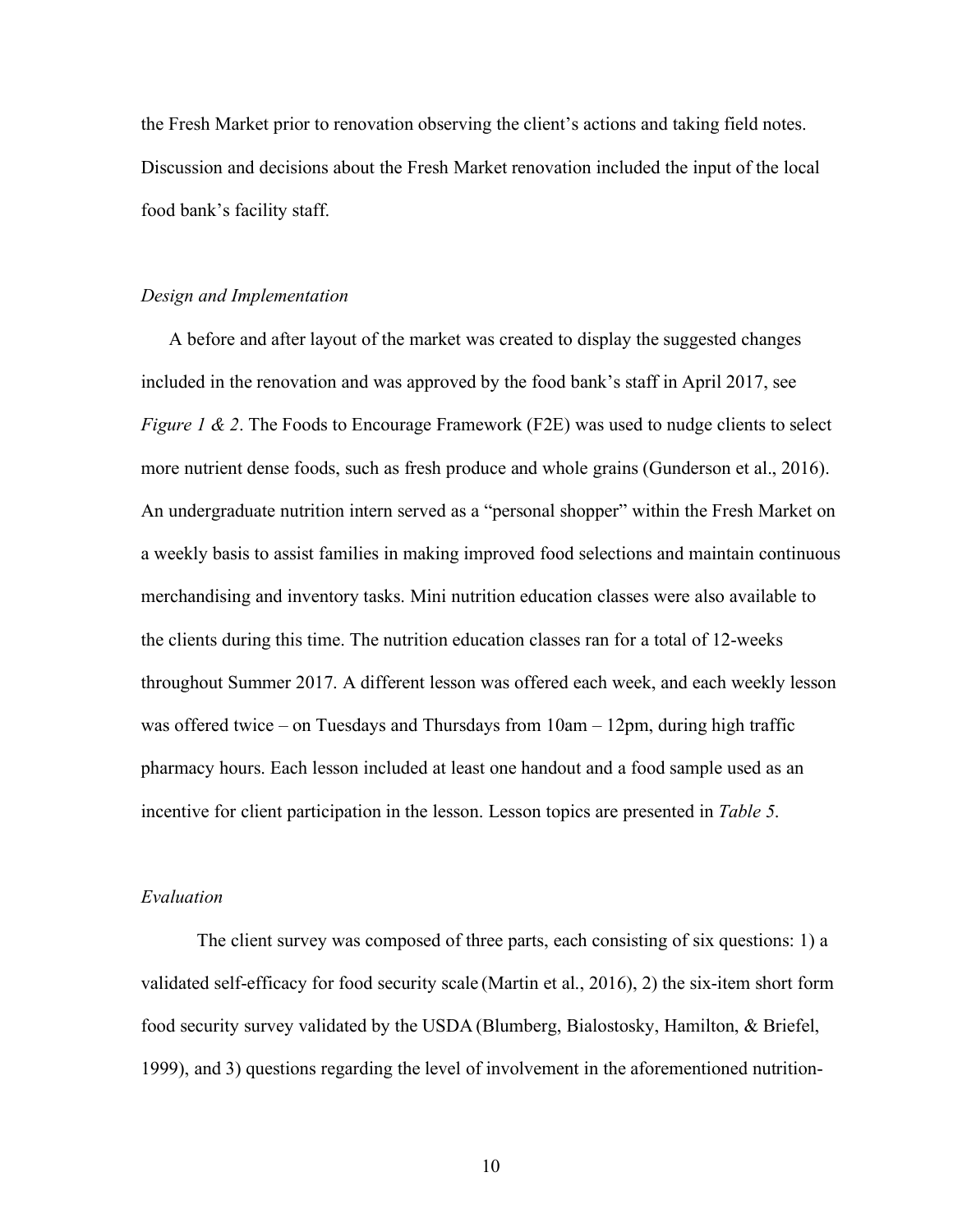the Fresh Market prior to renovation observing the client's actions and taking field notes. Discussion and decisions about the Fresh Market renovation included the input of the local food bank's facility staff.

#### *Design and Implementation*

A before and after layout of the market was created to display the suggested changes included in the renovation and was approved by the food bank's staff in April 2017, see *Figure 1 & 2.* The Foods to Encourage Framework (F2E) was used to nudge clients to select more nutrient dense foods, such as fresh produce and whole grains (Gunderson et al., 2016). An undergraduate nutrition intern served as a "personal shopper" within the Fresh Market on a weekly basis to assist families in making improved food selections and maintain continuous merchandising and inventory tasks. Mini nutrition education classes were also available to the clients during this time. The nutrition education classes ran for a total of 12-weeks throughout Summer 2017. A different lesson was offered each week, and each weekly lesson was offered twice – on Tuesdays and Thursdays from 10am – 12pm, during high traffic pharmacy hours. Each lesson included at least one handout and a food sample used as an incentive for client participation in the lesson. Lesson topics are presented in *Table 5*.

### *Evaluation*

The client survey was composed of three parts, each consisting of six questions: 1) a validated self-efficacy for food security scale (Martin et al., 2016), 2) the six-item short form food security survey validated by the USDA (Blumberg, Bialostosky, Hamilton, & Briefel, 1999), and 3) questions regarding the level of involvement in the aforementioned nutrition-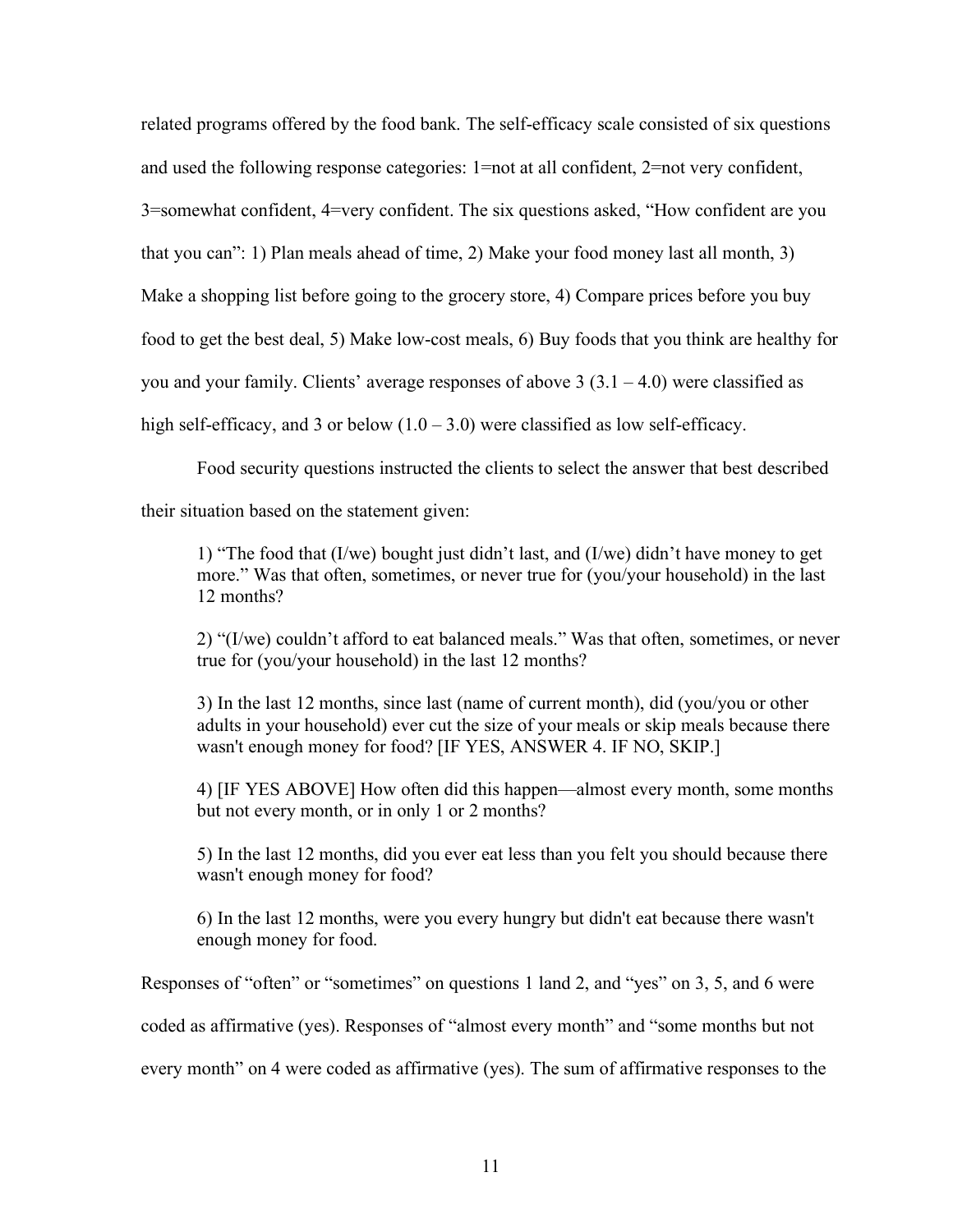related programs offered by the food bank. The self-efficacy scale consisted of six questions and used the following response categories: 1=not at all confident, 2=not very confident, 3=somewhat confident, 4=very confident. The six questions asked, "How confident are you that you can": 1) Plan meals ahead of time, 2) Make your food money last all month, 3) Make a shopping list before going to the grocery store, 4) Compare prices before you buy food to get the best deal, 5) Make low-cost meals, 6) Buy foods that you think are healthy for you and your family. Clients' average responses of above  $3(3.1 - 4.0)$  were classified as high self-efficacy, and 3 or below  $(1.0 - 3.0)$  were classified as low self-efficacy.

Food security questions instructed the clients to select the answer that best described

their situation based on the statement given:

1) "The food that (I/we) bought just didn't last, and (I/we) didn't have money to get more." Was that often, sometimes, or never true for (you/your household) in the last 12 months?

2) "(I/we) couldn't afford to eat balanced meals." Was that often, sometimes, or never true for (you/your household) in the last 12 months?

3) In the last 12 months, since last (name of current month), did (you/you or other adults in your household) ever cut the size of your meals or skip meals because there wasn't enough money for food? [IF YES, ANSWER 4. IF NO, SKIP.]

4) [IF YES ABOVE] How often did this happen—almost every month, some months but not every month, or in only 1 or 2 months?

5) In the last 12 months, did you ever eat less than you felt you should because there wasn't enough money for food?

6) In the last 12 months, were you every hungry but didn't eat because there wasn't enough money for food.

Responses of "often" or "sometimes" on questions 1 land 2, and "yes" on 3, 5, and 6 were

coded as affirmative (yes). Responses of "almost every month" and "some months but not

every month" on 4 were coded as affirmative (yes). The sum of affirmative responses to the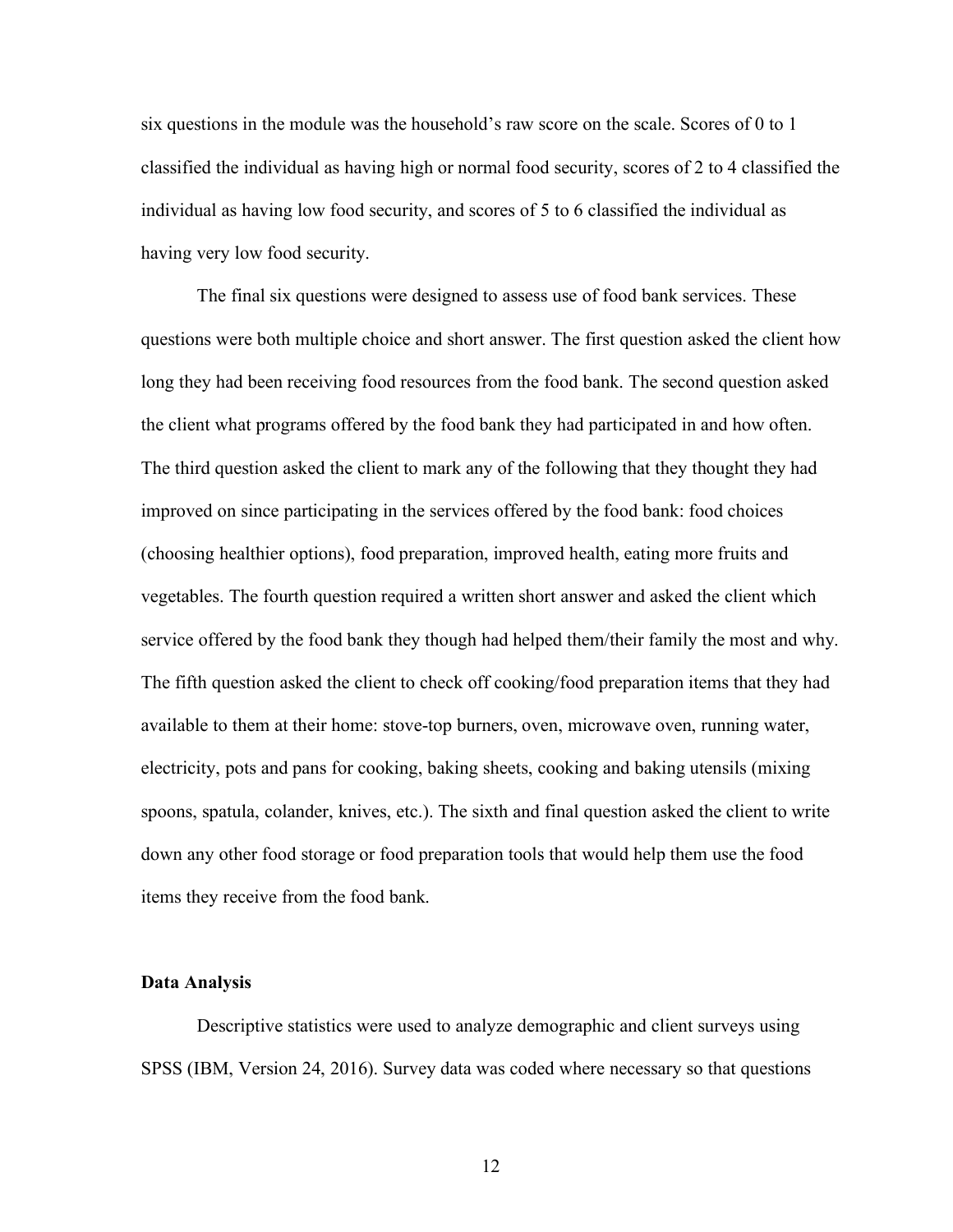six questions in the module was the household's raw score on the scale. Scores of 0 to 1 classified the individual as having high or normal food security, scores of 2 to 4 classified the individual as having low food security, and scores of 5 to 6 classified the individual as having very low food security.

The final six questions were designed to assess use of food bank services. These questions were both multiple choice and short answer. The first question asked the client how long they had been receiving food resources from the food bank. The second question asked the client what programs offered by the food bank they had participated in and how often. The third question asked the client to mark any of the following that they thought they had improved on since participating in the services offered by the food bank: food choices (choosing healthier options), food preparation, improved health, eating more fruits and vegetables. The fourth question required a written short answer and asked the client which service offered by the food bank they though had helped them/their family the most and why. The fifth question asked the client to check off cooking/food preparation items that they had available to them at their home: stove-top burners, oven, microwave oven, running water, electricity, pots and pans for cooking, baking sheets, cooking and baking utensils (mixing spoons, spatula, colander, knives, etc.). The sixth and final question asked the client to write down any other food storage or food preparation tools that would help them use the food items they receive from the food bank.

#### **Data Analysis**

Descriptive statistics were used to analyze demographic and client surveys using SPSS (IBM, Version 24, 2016). Survey data was coded where necessary so that questions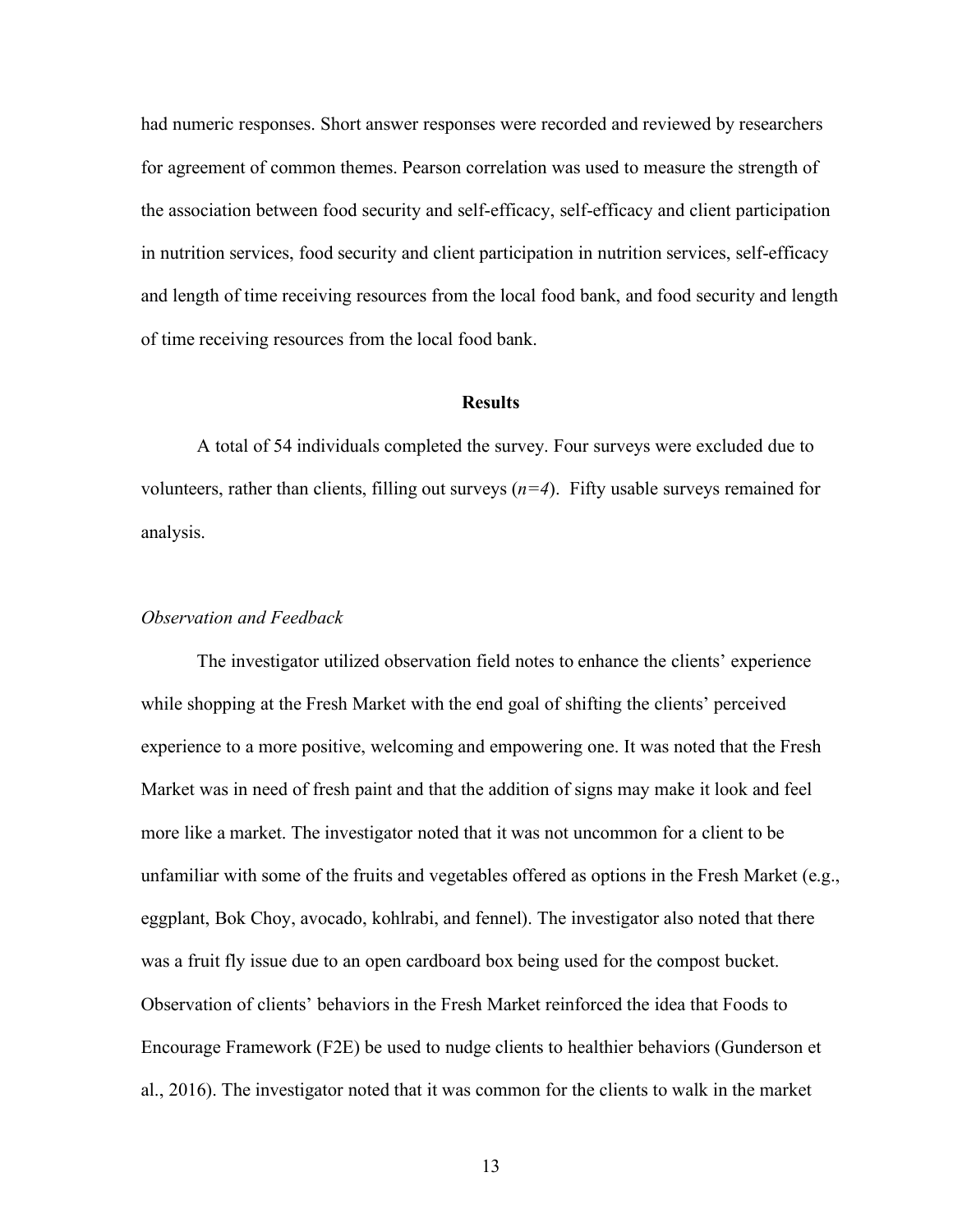had numeric responses. Short answer responses were recorded and reviewed by researchers for agreement of common themes. Pearson correlation was used to measure the strength of the association between food security and self-efficacy, self-efficacy and client participation in nutrition services, food security and client participation in nutrition services, self-efficacy and length of time receiving resources from the local food bank, and food security and length of time receiving resources from the local food bank.

#### **Results**

A total of 54 individuals completed the survey. Four surveys were excluded due to volunteers, rather than clients, filling out surveys  $(n=4)$ . Fifty usable surveys remained for analysis.

### *Observation and Feedback*

The investigator utilized observation field notes to enhance the clients' experience while shopping at the Fresh Market with the end goal of shifting the clients' perceived experience to a more positive, welcoming and empowering one. It was noted that the Fresh Market was in need of fresh paint and that the addition of signs may make it look and feel more like a market. The investigator noted that it was not uncommon for a client to be unfamiliar with some of the fruits and vegetables offered as options in the Fresh Market (e.g., eggplant, Bok Choy, avocado, kohlrabi, and fennel). The investigator also noted that there was a fruit fly issue due to an open cardboard box being used for the compost bucket. Observation of clients' behaviors in the Fresh Market reinforced the idea that Foods to Encourage Framework (F2E) be used to nudge clients to healthier behaviors (Gunderson et al., 2016). The investigator noted that it was common for the clients to walk in the market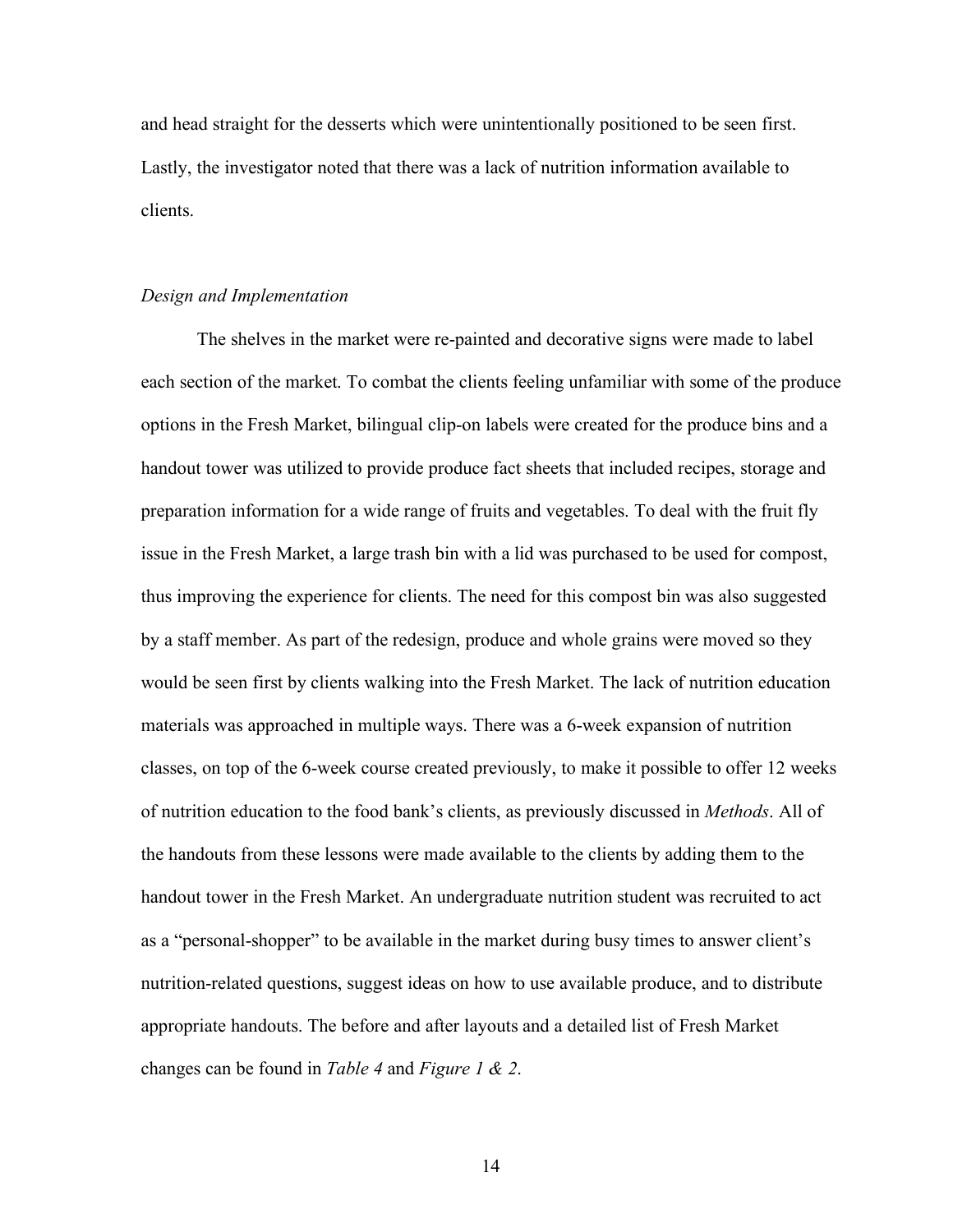and head straight for the desserts which were unintentionally positioned to be seen first. Lastly, the investigator noted that there was a lack of nutrition information available to clients.

#### *Design and Implementation*

The shelves in the market were re-painted and decorative signs were made to label each section of the market. To combat the clients feeling unfamiliar with some of the produce options in the Fresh Market, bilingual clip-on labels were created for the produce bins and a handout tower was utilized to provide produce fact sheets that included recipes, storage and preparation information for a wide range of fruits and vegetables. To deal with the fruit fly issue in the Fresh Market, a large trash bin with a lid was purchased to be used for compost, thus improving the experience for clients. The need for this compost bin was also suggested by a staff member. As part of the redesign, produce and whole grains were moved so they would be seen first by clients walking into the Fresh Market. The lack of nutrition education materials was approached in multiple ways. There was a 6-week expansion of nutrition classes, on top of the 6-week course created previously, to make it possible to offer 12 weeks of nutrition education to the food bank's clients, as previously discussed in *Methods*. All of the handouts from these lessons were made available to the clients by adding them to the handout tower in the Fresh Market. An undergraduate nutrition student was recruited to act as a "personal-shopper" to be available in the market during busy times to answer client's nutrition-related questions, suggest ideas on how to use available produce, and to distribute appropriate handouts. The before and after layouts and a detailed list of Fresh Market changes can be found in *Table 4* and *Figure 1 & 2*.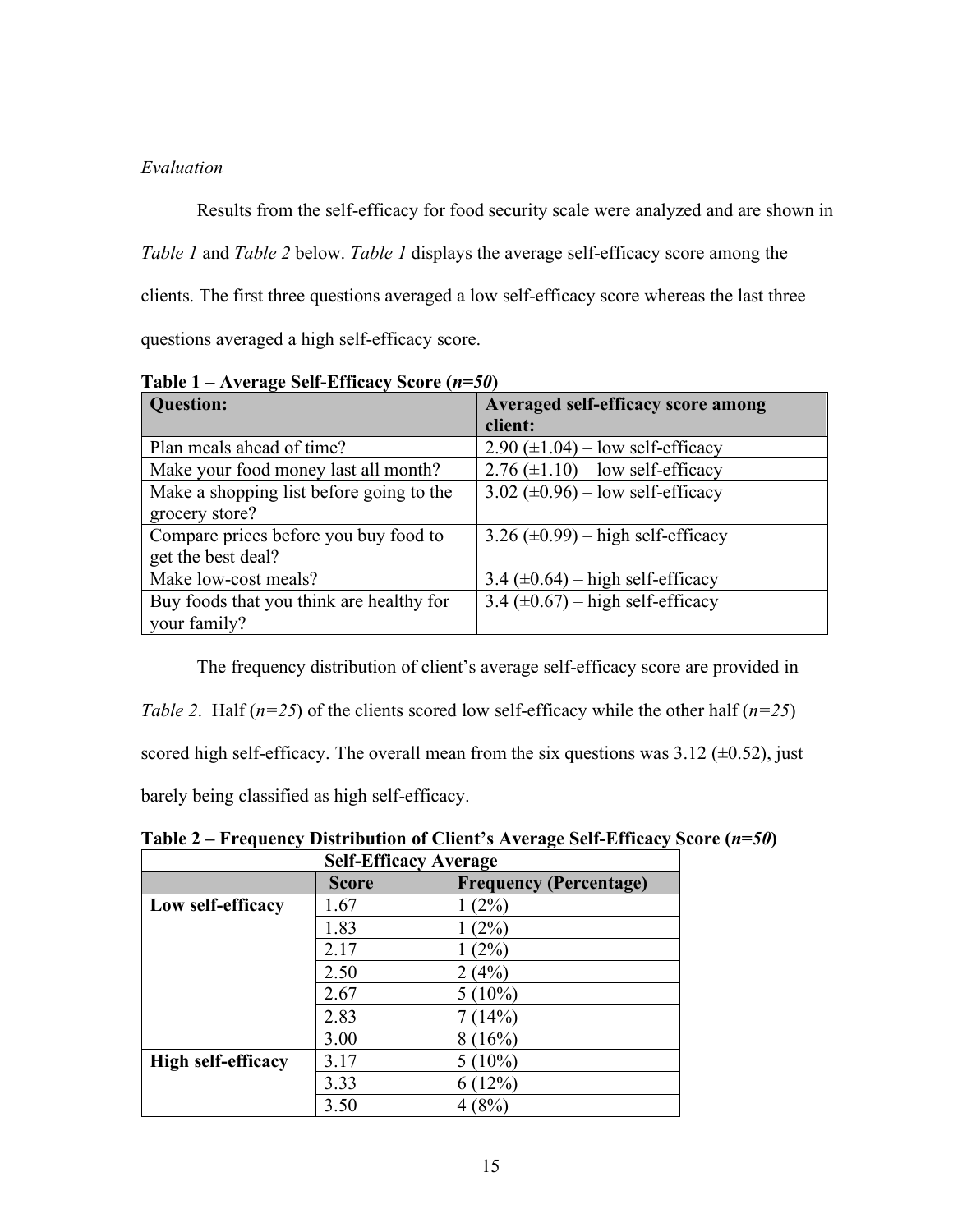## *Evaluation*

Results from the self-efficacy for food security scale were analyzed and are shown in *Table 1* and *Table 2* below. *Table 1* displays the average self-efficacy score among the clients. The first three questions averaged a low self-efficacy score whereas the last three questions averaged a high self-efficacy score.

| $1$ and $1 - 1$ is the age ben-Emilya benefit |                                                  |
|-----------------------------------------------|--------------------------------------------------|
| <b>Question:</b>                              | Averaged self-efficacy score among               |
|                                               | client:                                          |
| Plan meals ahead of time?                     | $2.90 \ (\pm 1.04) - low \ self\text{-efficacy}$ |
| Make your food money last all month?          | $2.76 \ (\pm 1.10) - low \ self\text{-efficacy}$ |
| Make a shopping list before going to the      | $3.02 \ (\pm 0.96) - low \ self\text{-efficacy}$ |
| grocery store?                                |                                                  |
| Compare prices before you buy food to         | $3.26 \ (\pm 0.99) - \text{high self-efficacy}$  |
| get the best deal?                            |                                                  |
| Make low-cost meals?                          | $3.4 \ (\pm 0.64) - \text{high self-efficacy}$   |
| Buy foods that you think are healthy for      | 3.4 $(\pm 0.67)$ – high self-efficacy            |
| your family?                                  |                                                  |

**Table 1 – Average Self-Efficacy Score (***n=50***)**

The frequency distribution of client's average self-efficacy score are provided in

*Table 2.* Half  $(n=25)$  of the clients scored low self-efficacy while the other half  $(n=25)$ 

scored high self-efficacy. The overall mean from the six questions was  $3.12$  ( $\pm 0.52$ ), just

barely being classified as high self-efficacy.

| <b>Self-Efficacy Average</b> |              |                               |
|------------------------------|--------------|-------------------------------|
|                              | <b>Score</b> | <b>Frequency (Percentage)</b> |
| Low self-efficacy            | 1.67         | (2%)                          |
|                              | 1.83         | (2%)                          |
|                              | 2.17         | (2%)                          |
|                              | 2.50         | 2 (4%)                        |
|                              | 2.67         | $5(10\%)$                     |
|                              | 2.83         | 7(14%)                        |
|                              | 3.00         | 8(16%)                        |
| <b>High self-efficacy</b>    | 3.17         | $(10\%)$<br>5                 |
|                              | 3.33         | 6(12%)                        |
|                              | 3.50         | (8%                           |

**Table 2 – Frequency Distribution of Client's Average Self-Efficacy Score (***n=50***)**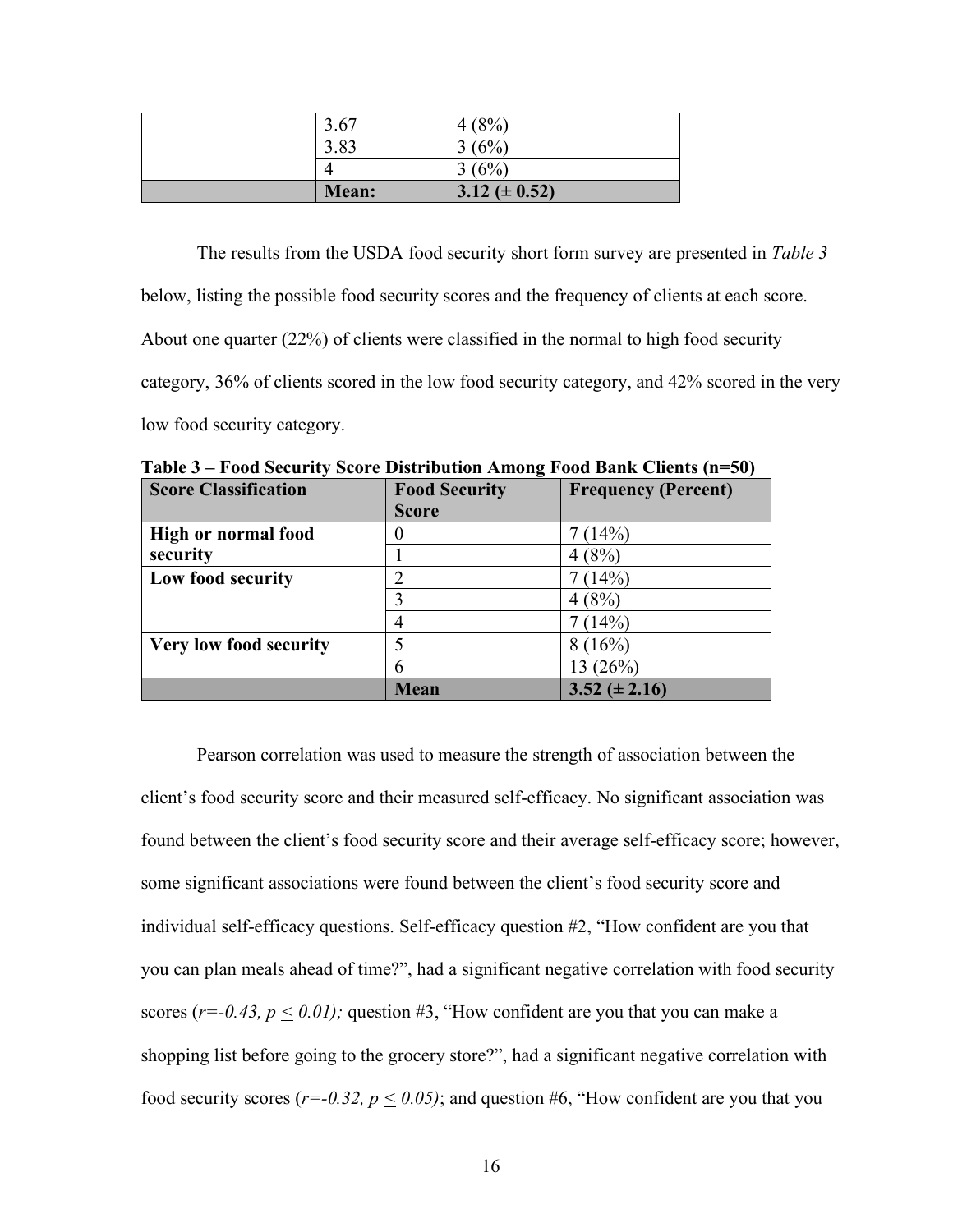| 3.67  | (8%)<br>4          |
|-------|--------------------|
| 3.83  | (6%)               |
|       | 3(6%)              |
| Mean: | 3.12 ( $\pm$ 0.52) |

The results from the USDA food security short form survey are presented in *Table 3*

below, listing the possible food security scores and the frequency of clients at each score.

About one quarter (22%) of clients were classified in the normal to high food security

category, 36% of clients scored in the low food security category, and 42% scored in the very

low food security category.

| <b>Score Classification</b> | -<br><b>Food Security</b> | <b>Frequency (Percent)</b> |
|-----------------------------|---------------------------|----------------------------|
|                             | <b>Score</b>              |                            |
| <b>High or normal food</b>  | U                         | 7(14%)                     |
| security                    |                           | 4(8%)                      |
| Low food security           |                           | (14%)                      |
|                             |                           | 4(8%                       |
|                             | $\overline{4}$            | (14%)                      |
| Very low food security      |                           | 8(16%)                     |
|                             | 6                         | 13 (26%)                   |
|                             | <b>Mean</b>               | $3.52 \ (\pm 2.16)$        |

**Table 3 – Food Security Score Distribution Among Food Bank Clients (n=50)**

Pearson correlation was used to measure the strength of association between the client's food security score and their measured self-efficacy. No significant association was found between the client's food security score and their average self-efficacy score; however, some significant associations were found between the client's food security score and individual self-efficacy questions. Self-efficacy question #2, "How confident are you that you can plan meals ahead of time?", had a significant negative correlation with food security scores ( $r = -0.43$ ,  $p \le 0.01$ ); question #3, "How confident are you that you can make a shopping list before going to the grocery store?", had a significant negative correlation with food security scores ( $r=-0.32$ ,  $p < 0.05$ ); and question #6, "How confident are you that you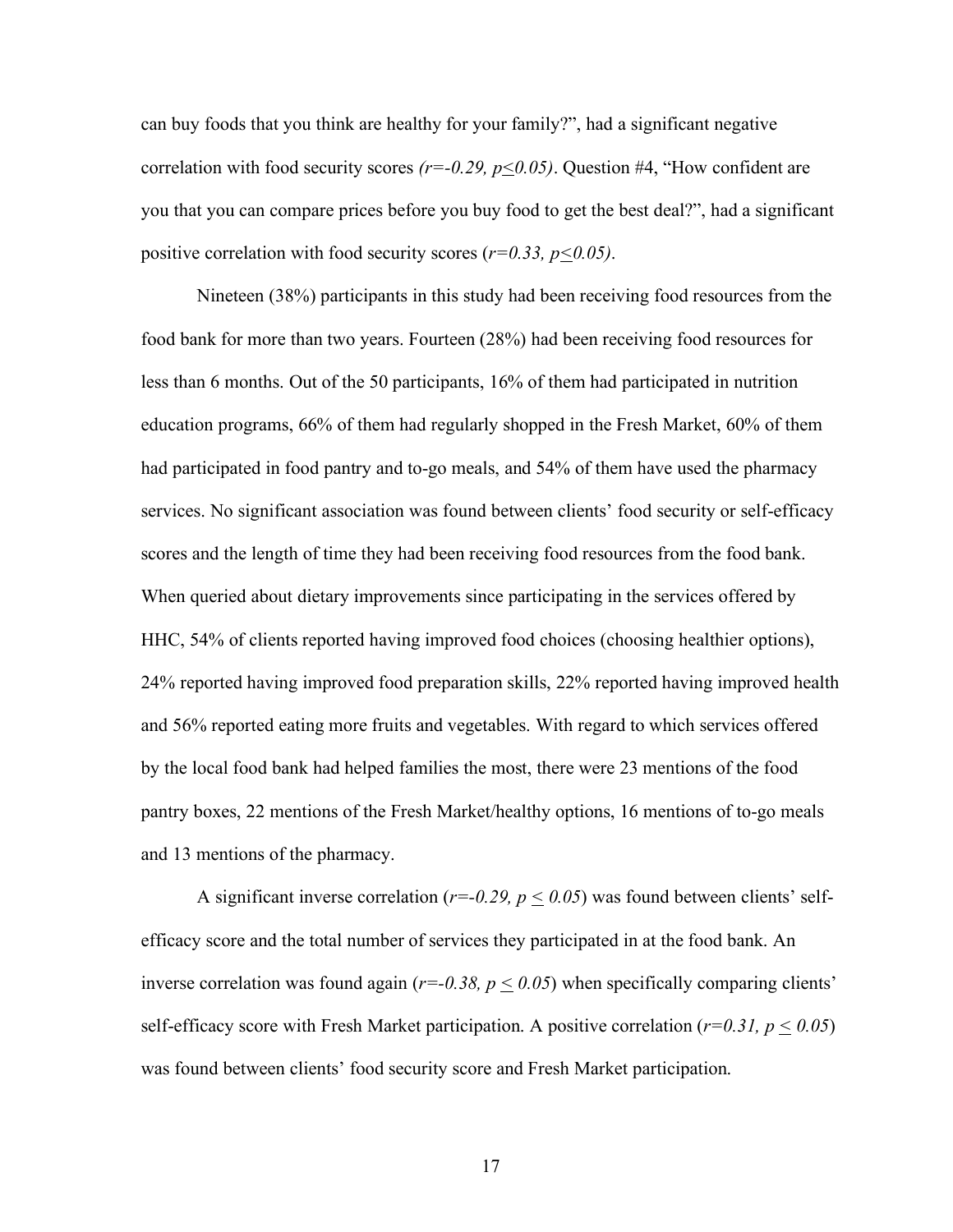can buy foods that you think are healthy for your family?", had a significant negative correlation with food security scores *(r=-0.29, p<0.05)*. Question #4, "How confident are you that you can compare prices before you buy food to get the best deal?", had a significant positive correlation with food security scores ( $r=0.33$ ,  $p\leq 0.05$ ).

Nineteen (38%) participants in this study had been receiving food resources from the food bank for more than two years. Fourteen (28%) had been receiving food resources for less than 6 months. Out of the 50 participants, 16% of them had participated in nutrition education programs, 66% of them had regularly shopped in the Fresh Market, 60% of them had participated in food pantry and to-go meals, and 54% of them have used the pharmacy services. No significant association was found between clients' food security or self-efficacy scores and the length of time they had been receiving food resources from the food bank. When queried about dietary improvements since participating in the services offered by HHC, 54% of clients reported having improved food choices (choosing healthier options), 24% reported having improved food preparation skills, 22% reported having improved health and 56% reported eating more fruits and vegetables. With regard to which services offered by the local food bank had helped families the most, there were 23 mentions of the food pantry boxes, 22 mentions of the Fresh Market/healthy options, 16 mentions of to-go meals and 13 mentions of the pharmacy.

A significant inverse correlation ( $r=-0.29$ ,  $p \le 0.05$ ) was found between clients' selfefficacy score and the total number of services they participated in at the food bank. An inverse correlation was found again ( $r=-0.38$ ,  $p \leq 0.05$ ) when specifically comparing clients' self-efficacy score with Fresh Market participation. A positive correlation ( $r=0.31$ ,  $p \le 0.05$ ) was found between clients' food security score and Fresh Market participation.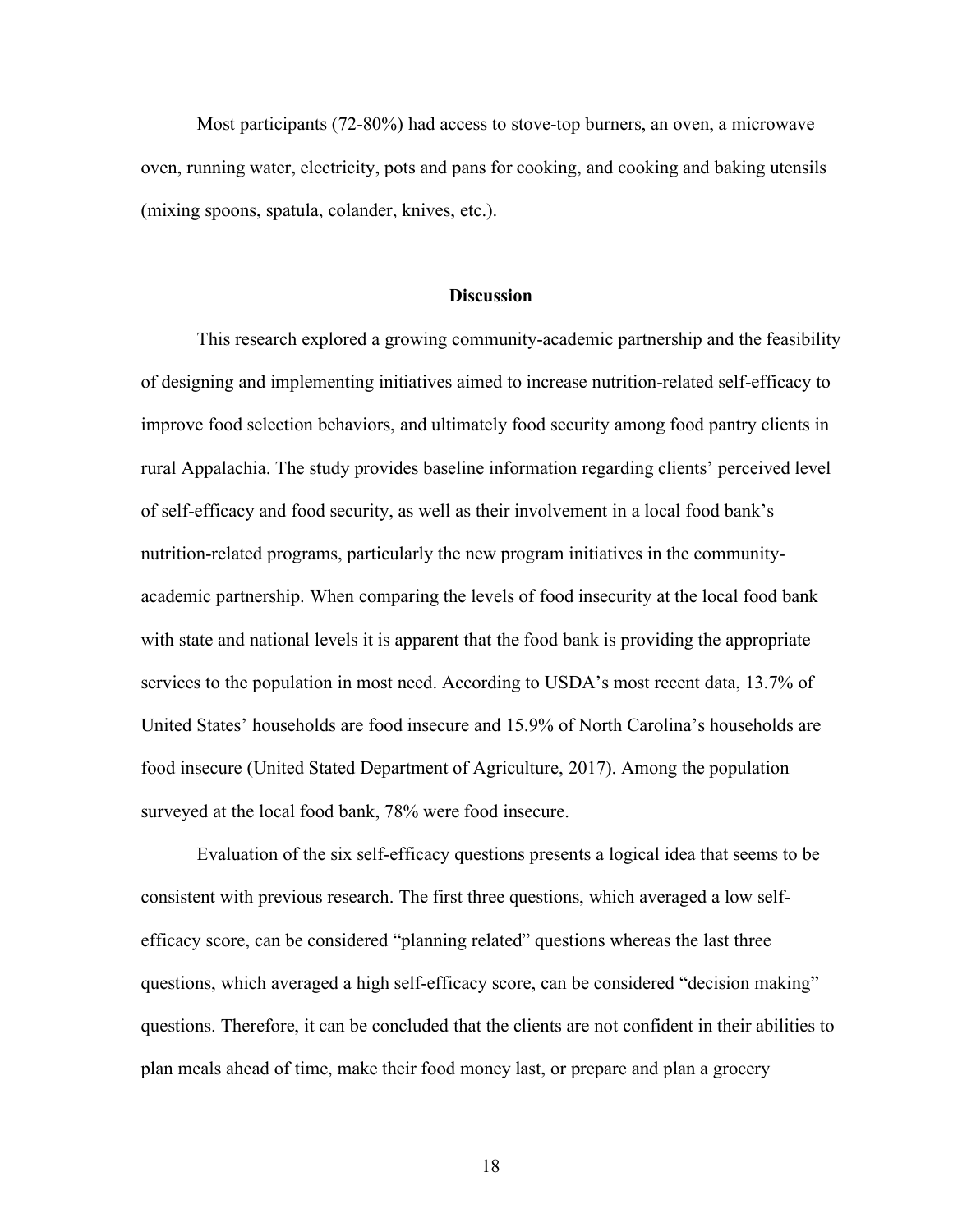Most participants (72-80%) had access to stove-top burners, an oven, a microwave oven, running water, electricity, pots and pans for cooking, and cooking and baking utensils (mixing spoons, spatula, colander, knives, etc.).

#### **Discussion**

This research explored a growing community-academic partnership and the feasibility of designing and implementing initiatives aimed to increase nutrition-related self-efficacy to improve food selection behaviors, and ultimately food security among food pantry clients in rural Appalachia. The study provides baseline information regarding clients' perceived level of self-efficacy and food security, as well as their involvement in a local food bank's nutrition-related programs, particularly the new program initiatives in the communityacademic partnership. When comparing the levels of food insecurity at the local food bank with state and national levels it is apparent that the food bank is providing the appropriate services to the population in most need. According to USDA's most recent data, 13.7% of United States' households are food insecure and 15.9% of North Carolina's households are food insecure (United Stated Department of Agriculture, 2017). Among the population surveyed at the local food bank, 78% were food insecure.

Evaluation of the six self-efficacy questions presents a logical idea that seems to be consistent with previous research. The first three questions, which averaged a low selfefficacy score, can be considered "planning related" questions whereas the last three questions, which averaged a high self-efficacy score, can be considered "decision making" questions. Therefore, it can be concluded that the clients are not confident in their abilities to plan meals ahead of time, make their food money last, or prepare and plan a grocery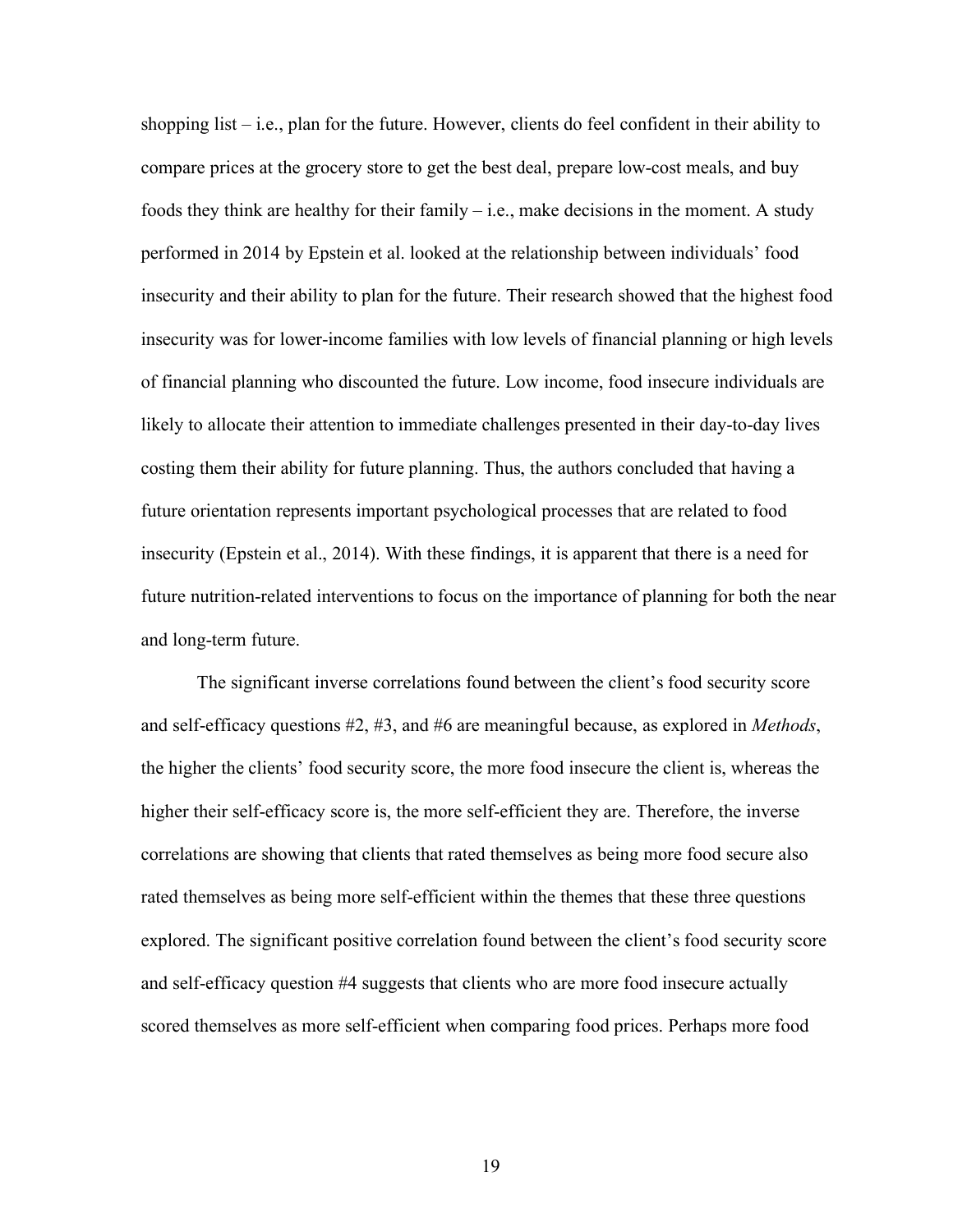shopping list – i.e., plan for the future. However, clients do feel confident in their ability to compare prices at the grocery store to get the best deal, prepare low-cost meals, and buy foods they think are healthy for their family  $-$  i.e., make decisions in the moment. A study performed in 2014 by Epstein et al. looked at the relationship between individuals' food insecurity and their ability to plan for the future. Their research showed that the highest food insecurity was for lower-income families with low levels of financial planning or high levels of financial planning who discounted the future. Low income, food insecure individuals are likely to allocate their attention to immediate challenges presented in their day-to-day lives costing them their ability for future planning. Thus, the authors concluded that having a future orientation represents important psychological processes that are related to food insecurity (Epstein et al., 2014). With these findings, it is apparent that there is a need for future nutrition-related interventions to focus on the importance of planning for both the near and long-term future.

The significant inverse correlations found between the client's food security score and self-efficacy questions #2, #3, and #6 are meaningful because, as explored in *Methods*, the higher the clients' food security score, the more food insecure the client is, whereas the higher their self-efficacy score is, the more self-efficient they are. Therefore, the inverse correlations are showing that clients that rated themselves as being more food secure also rated themselves as being more self-efficient within the themes that these three questions explored. The significant positive correlation found between the client's food security score and self-efficacy question #4 suggests that clients who are more food insecure actually scored themselves as more self-efficient when comparing food prices. Perhaps more food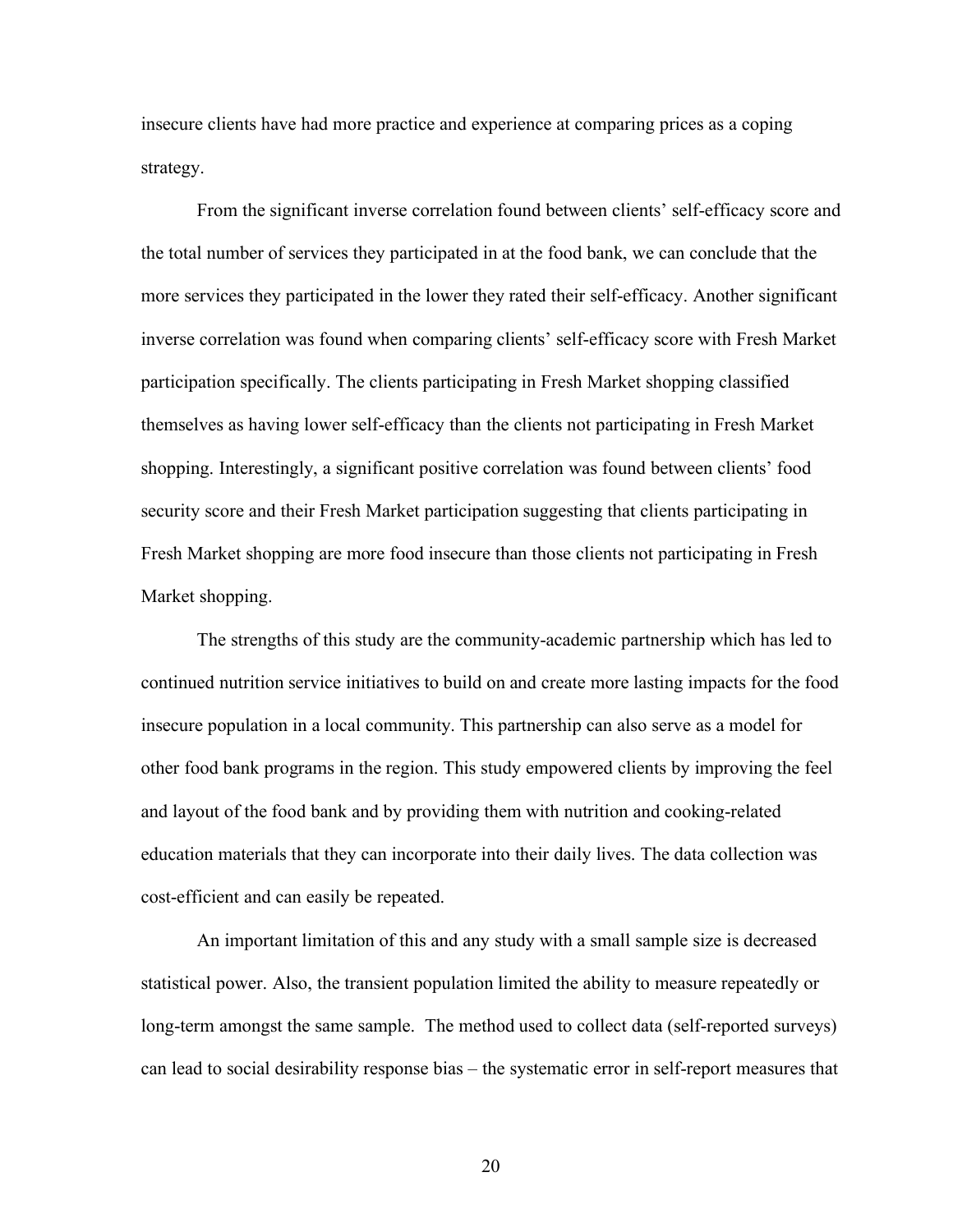insecure clients have had more practice and experience at comparing prices as a coping strategy.

From the significant inverse correlation found between clients' self-efficacy score and the total number of services they participated in at the food bank, we can conclude that the more services they participated in the lower they rated their self-efficacy. Another significant inverse correlation was found when comparing clients' self-efficacy score with Fresh Market participation specifically. The clients participating in Fresh Market shopping classified themselves as having lower self-efficacy than the clients not participating in Fresh Market shopping. Interestingly, a significant positive correlation was found between clients' food security score and their Fresh Market participation suggesting that clients participating in Fresh Market shopping are more food insecure than those clients not participating in Fresh Market shopping.

The strengths of this study are the community-academic partnership which has led to continued nutrition service initiatives to build on and create more lasting impacts for the food insecure population in a local community. This partnership can also serve as a model for other food bank programs in the region. This study empowered clients by improving the feel and layout of the food bank and by providing them with nutrition and cooking-related education materials that they can incorporate into their daily lives. The data collection was cost-efficient and can easily be repeated.

An important limitation of this and any study with a small sample size is decreased statistical power. Also, the transient population limited the ability to measure repeatedly or long-term amongst the same sample. The method used to collect data (self-reported surveys) can lead to social desirability response bias – the systematic error in self-report measures that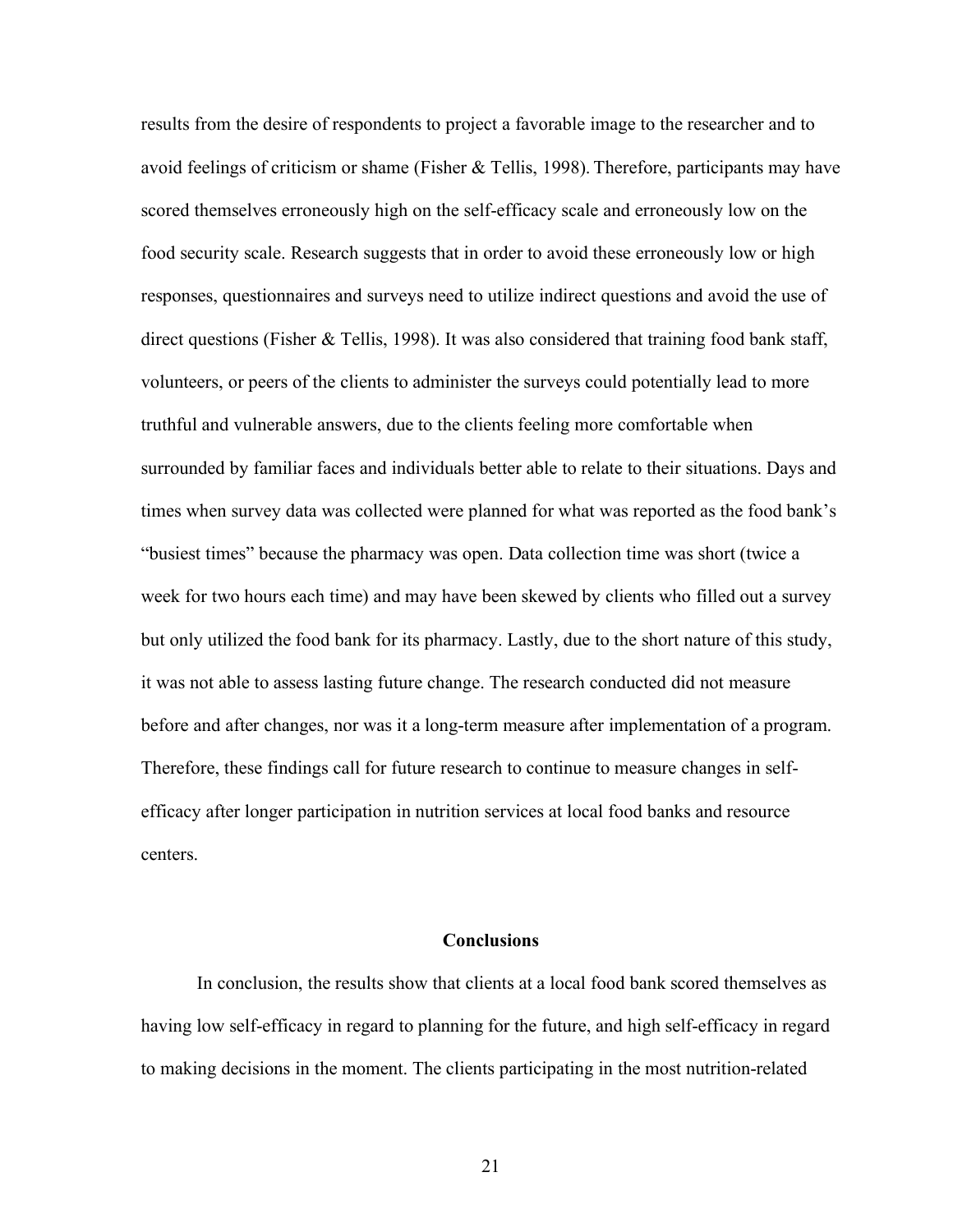results from the desire of respondents to project a favorable image to the researcher and to avoid feelings of criticism or shame (Fisher & Tellis, 1998). Therefore, participants may have scored themselves erroneously high on the self-efficacy scale and erroneously low on the food security scale. Research suggests that in order to avoid these erroneously low or high responses, questionnaires and surveys need to utilize indirect questions and avoid the use of direct questions (Fisher & Tellis, 1998). It was also considered that training food bank staff, volunteers, or peers of the clients to administer the surveys could potentially lead to more truthful and vulnerable answers, due to the clients feeling more comfortable when surrounded by familiar faces and individuals better able to relate to their situations. Days and times when survey data was collected were planned for what was reported as the food bank's "busiest times" because the pharmacy was open. Data collection time was short (twice a week for two hours each time) and may have been skewed by clients who filled out a survey but only utilized the food bank for its pharmacy. Lastly, due to the short nature of this study, it was not able to assess lasting future change. The research conducted did not measure before and after changes, nor was it a long-term measure after implementation of a program. Therefore, these findings call for future research to continue to measure changes in selfefficacy after longer participation in nutrition services at local food banks and resource centers.

#### **Conclusions**

In conclusion, the results show that clients at a local food bank scored themselves as having low self-efficacy in regard to planning for the future, and high self-efficacy in regard to making decisions in the moment. The clients participating in the most nutrition-related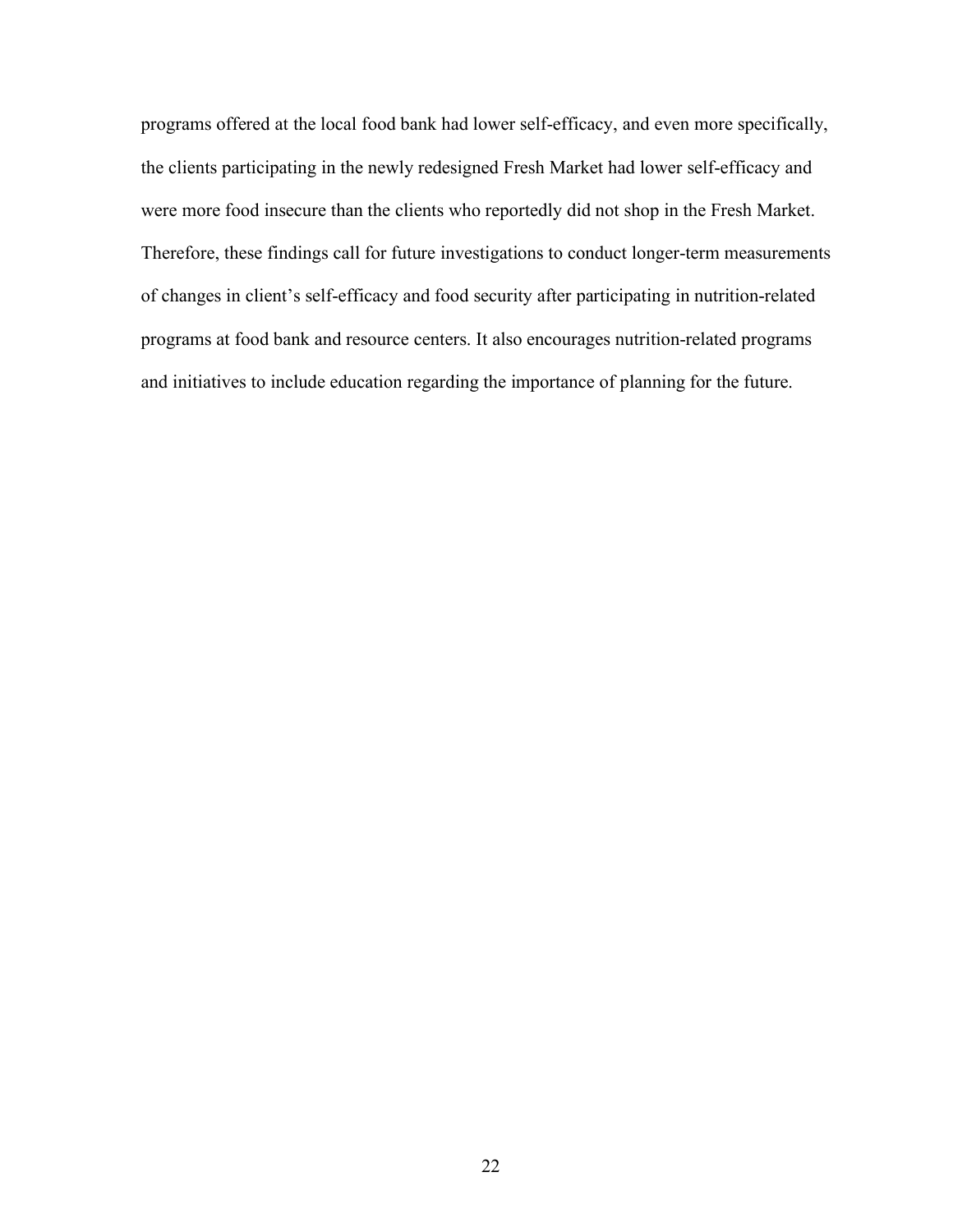programs offered at the local food bank had lower self-efficacy, and even more specifically, the clients participating in the newly redesigned Fresh Market had lower self-efficacy and were more food insecure than the clients who reportedly did not shop in the Fresh Market. Therefore, these findings call for future investigations to conduct longer-term measurements of changes in client's self-efficacy and food security after participating in nutrition-related programs at food bank and resource centers. It also encourages nutrition-related programs and initiatives to include education regarding the importance of planning for the future.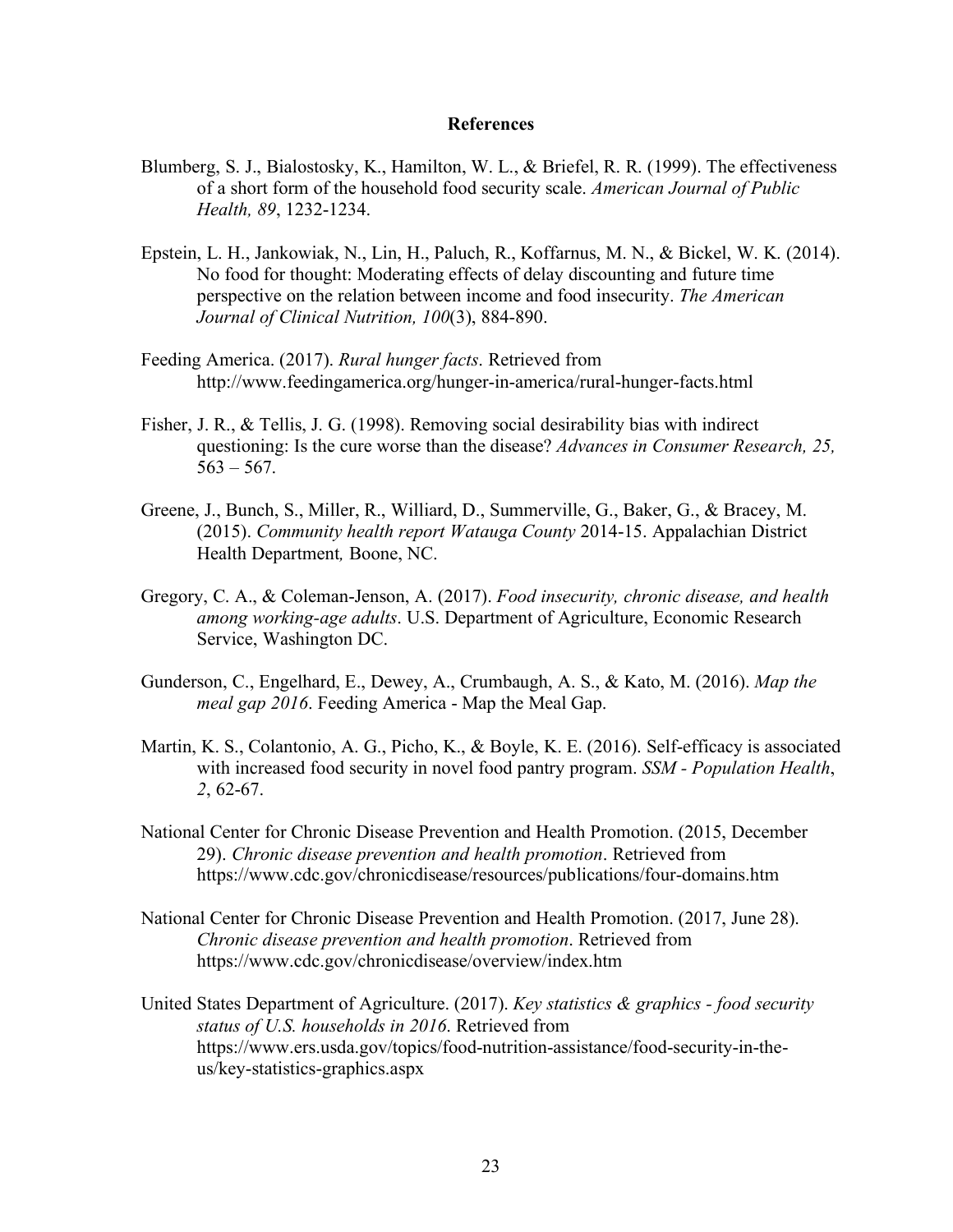#### **References**

- Blumberg, S. J., Bialostosky, K., Hamilton, W. L., & Briefel, R. R. (1999). The effectiveness of a short form of the household food security scale. *American Journal of Public Health, 89*, 1232-1234.
- Epstein, L. H., Jankowiak, N., Lin, H., Paluch, R., Koffarnus, M. N., & Bickel, W. K. (2014). No food for thought: Moderating effects of delay discounting and future time perspective on the relation between income and food insecurity. *The American Journal of Clinical Nutrition, 100*(3), 884-890.
- Feeding America. (2017). *Rural hunger facts*. Retrieved from http://www.feedingamerica.org/hunger-in-america/rural-hunger-facts.html
- Fisher, J. R., & Tellis, J. G. (1998). Removing social desirability bias with indirect questioning: Is the cure worse than the disease? *Advances in Consumer Research, 25,*  $563 - 567$ .
- Greene, J., Bunch, S., Miller, R., Williard, D., Summerville, G., Baker, G., & Bracey, M. (2015). *Community health report Watauga County* 2014-15. Appalachian District Health Department*,* Boone, NC.
- Gregory, C. A., & Coleman-Jenson, A. (2017). *Food insecurity, chronic disease, and health among working-age adults*. U.S. Department of Agriculture, Economic Research Service, Washington DC.
- Gunderson, C., Engelhard, E., Dewey, A., Crumbaugh, A. S., & Kato, M. (2016). *Map the meal gap 2016*. Feeding America - Map the Meal Gap.
- Martin, K. S., Colantonio, A. G., Picho, K., & Boyle, K. E. (2016). Self-efficacy is associated with increased food security in novel food pantry program. *SSM - Population Health*, *2*, 62-67.
- National Center for Chronic Disease Prevention and Health Promotion. (2015, December 29). *Chronic disease prevention and health promotion*. Retrieved from https://www.cdc.gov/chronicdisease/resources/publications/four-domains.htm
- National Center for Chronic Disease Prevention and Health Promotion. (2017, June 28). *Chronic disease prevention and health promotion*. Retrieved from https://www.cdc.gov/chronicdisease/overview/index.htm
- United States Department of Agriculture. (2017). *Key statistics & graphics - food security status of U.S. households in 2016*. Retrieved from https://www.ers.usda.gov/topics/food-nutrition-assistance/food-security-in-theus/key-statistics-graphics.aspx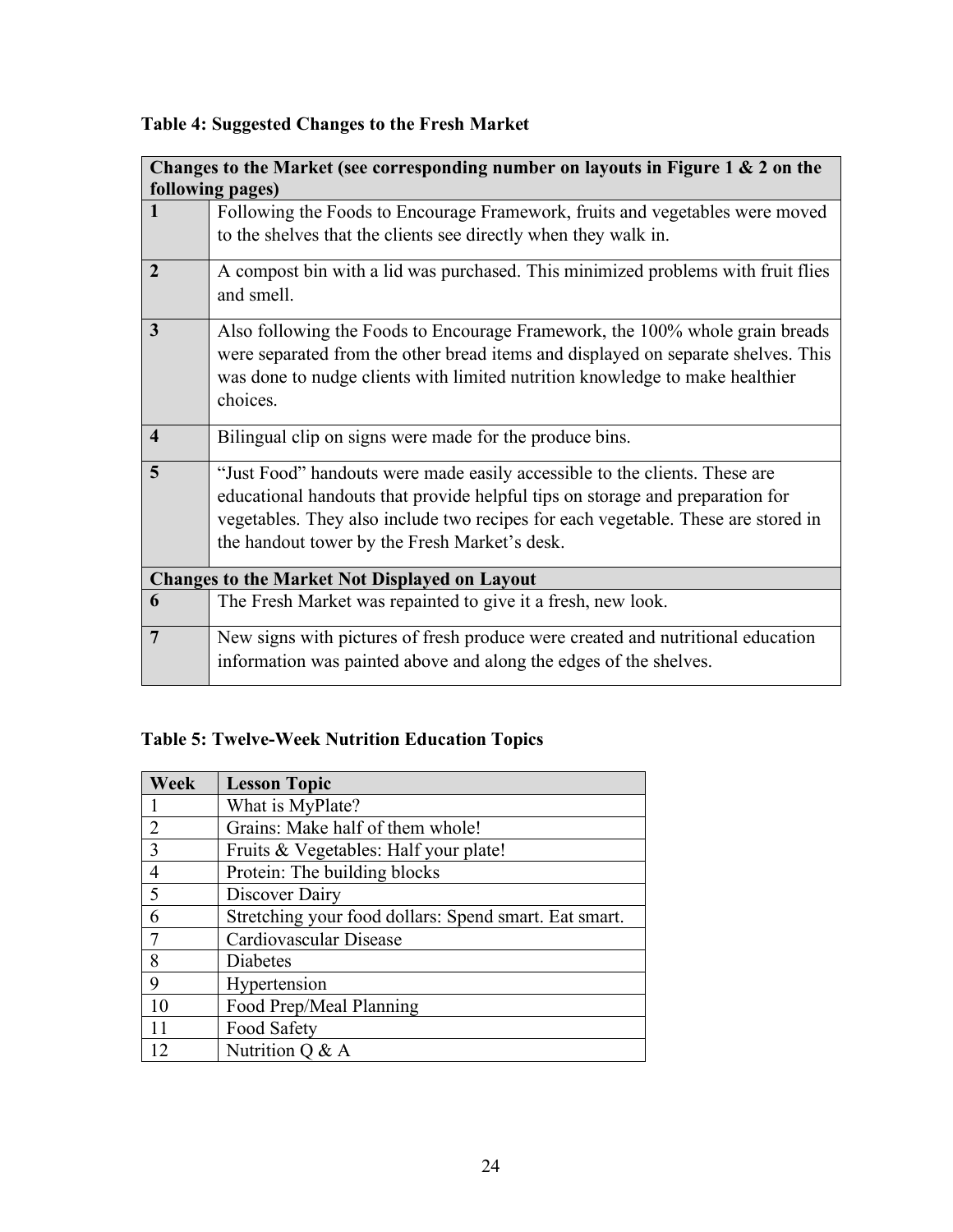|                         | Changes to the Market (see corresponding number on layouts in Figure 1 & 2 on the                                                                                                                                                                             |
|-------------------------|---------------------------------------------------------------------------------------------------------------------------------------------------------------------------------------------------------------------------------------------------------------|
|                         | following pages)                                                                                                                                                                                                                                              |
| $\mathbf{1}$            | Following the Foods to Encourage Framework, fruits and vegetables were moved                                                                                                                                                                                  |
|                         | to the shelves that the clients see directly when they walk in.                                                                                                                                                                                               |
| $\overline{2}$          | A compost bin with a lid was purchased. This minimized problems with fruit flies<br>and smell.                                                                                                                                                                |
| 3                       | Also following the Foods to Encourage Framework, the 100% whole grain breads<br>were separated from the other bread items and displayed on separate shelves. This<br>was done to nudge clients with limited nutrition knowledge to make healthier<br>choices. |
| $\overline{\mathbf{4}}$ | Bilingual clip on signs were made for the produce bins.                                                                                                                                                                                                       |
| 5                       | "Just Food" handouts were made easily accessible to the clients. These are<br>educational handouts that provide helpful tips on storage and preparation for                                                                                                   |
|                         | vegetables. They also include two recipes for each vegetable. These are stored in                                                                                                                                                                             |
|                         | the handout tower by the Fresh Market's desk.                                                                                                                                                                                                                 |
|                         |                                                                                                                                                                                                                                                               |
|                         | <b>Changes to the Market Not Displayed on Layout</b>                                                                                                                                                                                                          |
| 6                       | The Fresh Market was repainted to give it a fresh, new look.                                                                                                                                                                                                  |
| $\overline{7}$          | New signs with pictures of fresh produce were created and nutritional education                                                                                                                                                                               |
|                         | information was painted above and along the edges of the shelves.                                                                                                                                                                                             |

## **Table 4: Suggested Changes to the Fresh Market**

# **Table 5: Twelve-Week Nutrition Education Topics**

| Week           | <b>Lesson Topic</b>                                   |
|----------------|-------------------------------------------------------|
|                | What is MyPlate?                                      |
| 2              | Grains: Make half of them whole!                      |
| 3              | Fruits & Vegetables: Half your plate!                 |
| $\overline{4}$ | Protein: The building blocks                          |
| 5              | Discover Dairy                                        |
| 6              | Stretching your food dollars: Spend smart. Eat smart. |
|                | Cardiovascular Disease                                |
| 8              | Diabetes                                              |
| 9              | Hypertension                                          |
| 10             | Food Prep/Meal Planning                               |
| 11             | Food Safety                                           |
|                | Nutrition $Q & A$                                     |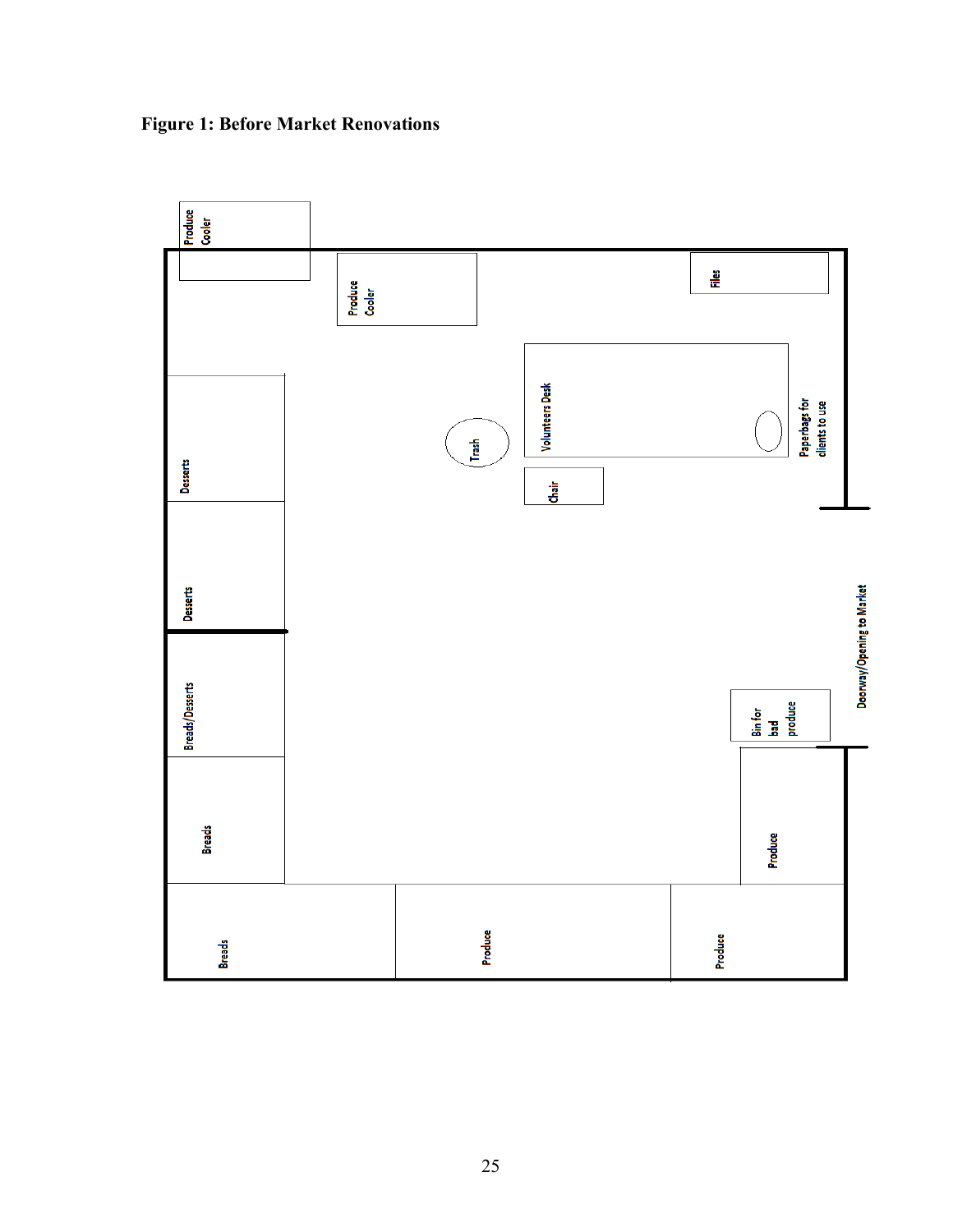

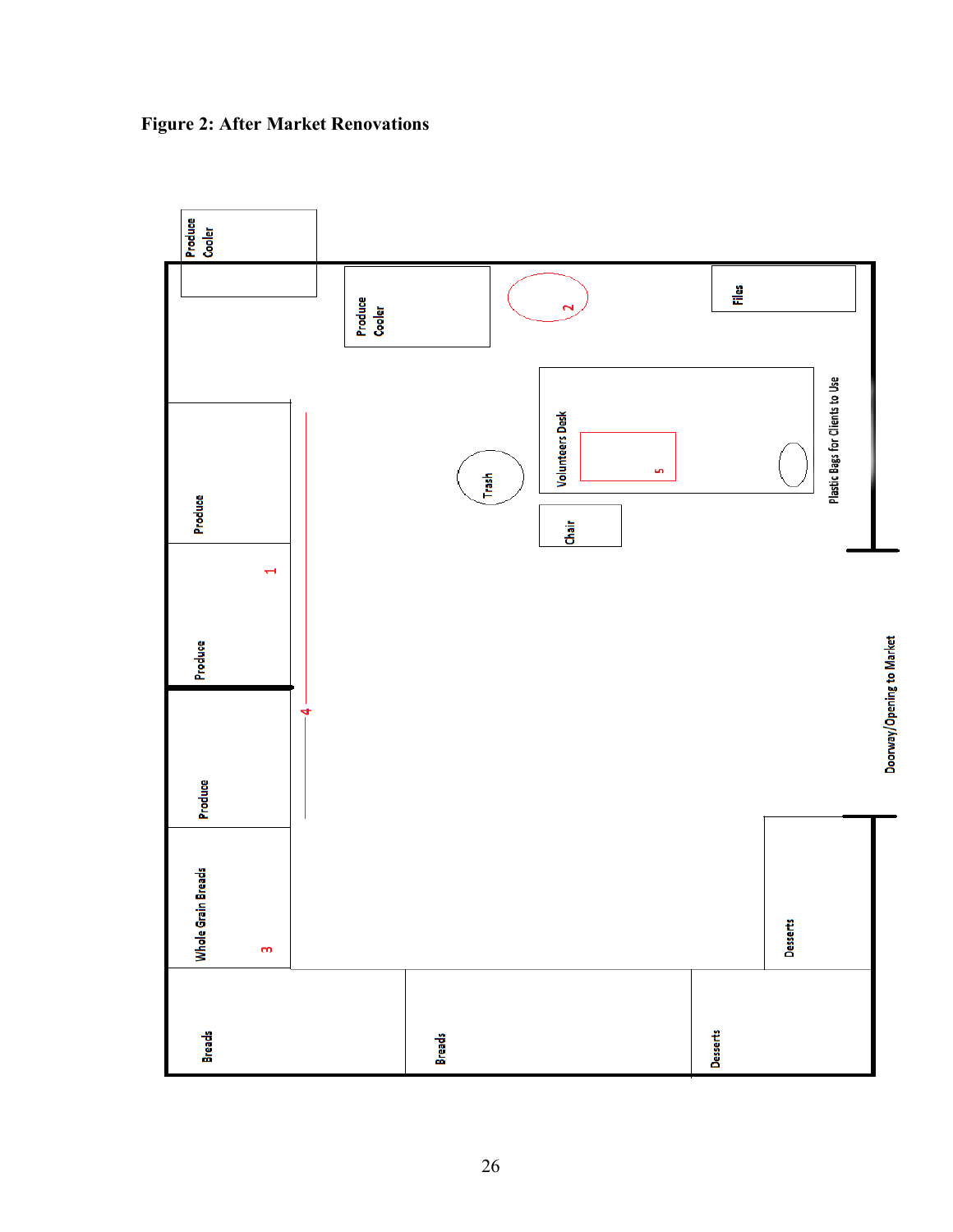